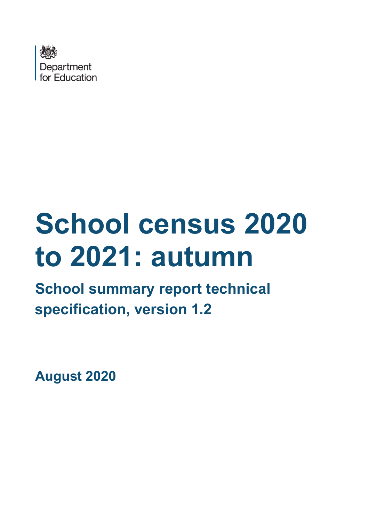

# **School census 2020 to 2021: autumn**

# **School summary report technical specification, version 1.2**

**August 2020**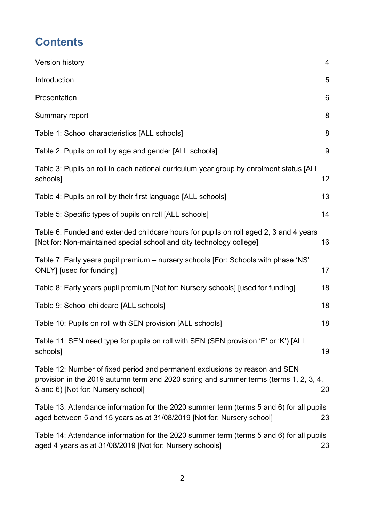# **Contents**

| Version history                                                                                                                                                                                            | $\overline{4}$ |
|------------------------------------------------------------------------------------------------------------------------------------------------------------------------------------------------------------|----------------|
| Introduction                                                                                                                                                                                               | 5              |
| Presentation                                                                                                                                                                                               | 6              |
| Summary report                                                                                                                                                                                             | 8              |
| Table 1: School characteristics [ALL schools]                                                                                                                                                              | 8              |
| Table 2: Pupils on roll by age and gender [ALL schools]                                                                                                                                                    | 9              |
| Table 3: Pupils on roll in each national curriculum year group by enrolment status [ALL<br>schools]                                                                                                        | 12             |
| Table 4: Pupils on roll by their first language [ALL schools]                                                                                                                                              | 13             |
| Table 5: Specific types of pupils on roll [ALL schools]                                                                                                                                                    | 14             |
| Table 6: Funded and extended childcare hours for pupils on roll aged 2, 3 and 4 years<br>[Not for: Non-maintained special school and city technology college]                                              | 16             |
| Table 7: Early years pupil premium – nursery schools [For: Schools with phase 'NS'<br>ONLY] [used for funding]                                                                                             | 17             |
| Table 8: Early years pupil premium [Not for: Nursery schools] [used for funding]                                                                                                                           | 18             |
| Table 9: School childcare [ALL schools]                                                                                                                                                                    | 18             |
| Table 10: Pupils on roll with SEN provision [ALL schools]                                                                                                                                                  | 18             |
| Table 11: SEN need type for pupils on roll with SEN (SEN provision 'E' or 'K') [ALL<br>schools]                                                                                                            | 19             |
| Table 12: Number of fixed period and permanent exclusions by reason and SEN<br>provision in the 2019 autumn term and 2020 spring and summer terms (terms 1, 2, 3, 4,<br>5 and 6) [Not for: Nursery school] | 20             |
| Table 13: Attendance information for the 2020 summer term (terms 5 and 6) for all pupils<br>aged between 5 and 15 years as at 31/08/2019 [Not for: Nursery school]                                         | 23             |
| Table 14: Attendance information for the 2020 summer term (terms 5 and 6) for all pupils<br>aged 4 years as at 31/08/2019 [Not for: Nursery schools]                                                       | 23             |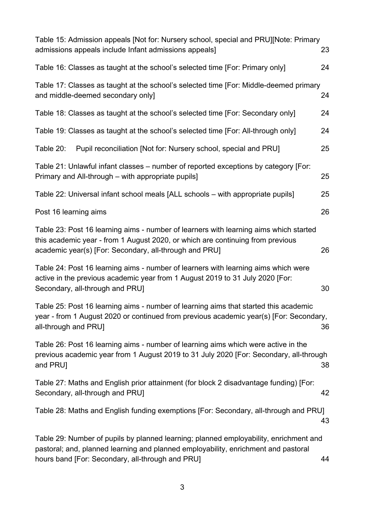| Table 15: Admission appeals [Not for: Nursery school, special and PRU][Note: Primary<br>admissions appeals include Infant admissions appeals]                                                                                     | 23 |
|-----------------------------------------------------------------------------------------------------------------------------------------------------------------------------------------------------------------------------------|----|
| Table 16: Classes as taught at the school's selected time [For: Primary only]                                                                                                                                                     | 24 |
| Table 17: Classes as taught at the school's selected time [For: Middle-deemed primary<br>and middle-deemed secondary only]                                                                                                        | 24 |
| Table 18: Classes as taught at the school's selected time [For: Secondary only]                                                                                                                                                   | 24 |
| Table 19: Classes as taught at the school's selected time [For: All-through only]                                                                                                                                                 | 24 |
| Pupil reconciliation [Not for: Nursery school, special and PRU]<br>Table 20:                                                                                                                                                      | 25 |
| Table 21: Unlawful infant classes – number of reported exceptions by category [For:<br>Primary and All-through - with appropriate pupils]                                                                                         | 25 |
| Table 22: Universal infant school meals [ALL schools - with appropriate pupils]                                                                                                                                                   | 25 |
| Post 16 learning aims                                                                                                                                                                                                             | 26 |
| Table 23: Post 16 learning aims - number of learners with learning aims which started<br>this academic year - from 1 August 2020, or which are continuing from previous<br>academic year(s) [For: Secondary, all-through and PRU] | 26 |
| Table 24: Post 16 learning aims - number of learners with learning aims which were<br>active in the previous academic year from 1 August 2019 to 31 July 2020 [For:<br>Secondary, all-through and PRU]                            | 30 |
| Table 25: Post 16 learning aims - number of learning aims that started this academic<br>year - from 1 August 2020 or continued from previous academic year(s) [For: Secondary,<br>all-through and PRU]                            | 36 |
| Table 26: Post 16 learning aims - number of learning aims which were active in the<br>previous academic year from 1 August 2019 to 31 July 2020 [For: Secondary, all-through<br>and PRU]                                          | 38 |
| Table 27: Maths and English prior attainment (for block 2 disadvantage funding) [For:<br>Secondary, all-through and PRU]                                                                                                          | 42 |
| Table 28: Maths and English funding exemptions [For: Secondary, all-through and PRU]                                                                                                                                              | 43 |
| Table 29: Number of pupils by planned learning; planned employability, enrichment and<br>pastoral; and, planned learning and planned employability, enrichment and pastoral                                                       |    |

[hours band \[For: Secondary, all-through and PRU\]](#page-43-0)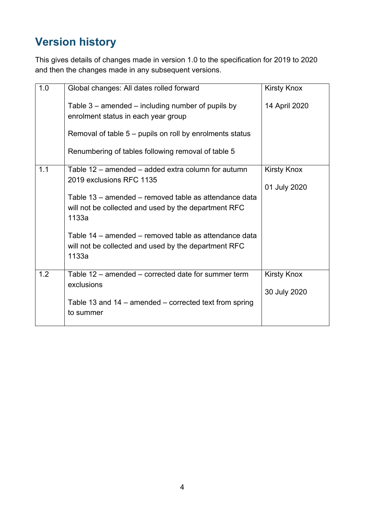# <span id="page-3-0"></span>**Version history**

This gives details of changes made in version 1.0 to the specification for 2019 to 2020 and then the changes made in any subsequent versions.

| 1.0 | Global changes: All dates rolled forward                                                                               | <b>Kirsty Knox</b>                 |
|-----|------------------------------------------------------------------------------------------------------------------------|------------------------------------|
|     | Table $3$ – amended – including number of pupils by<br>enrolment status in each year group                             | 14 April 2020                      |
|     | Removal of table $5$ – pupils on roll by enrolments status                                                             |                                    |
|     | Renumbering of tables following removal of table 5                                                                     |                                    |
| 1.1 | Table 12 - amended - added extra column for autumn<br>2019 exclusions RFC 1135                                         | <b>Kirsty Knox</b><br>01 July 2020 |
|     | Table 13 - amended - removed table as attendance data<br>will not be collected and used by the department RFC<br>1133a |                                    |
|     | Table 14 – amended – removed table as attendance data<br>will not be collected and used by the department RFC<br>1133a |                                    |
| 1.2 | Table 12 - amended - corrected date for summer term<br>exclusions                                                      | <b>Kirsty Knox</b><br>30 July 2020 |
|     | Table 13 and 14 $-$ amended $-$ corrected text from spring<br>to summer                                                |                                    |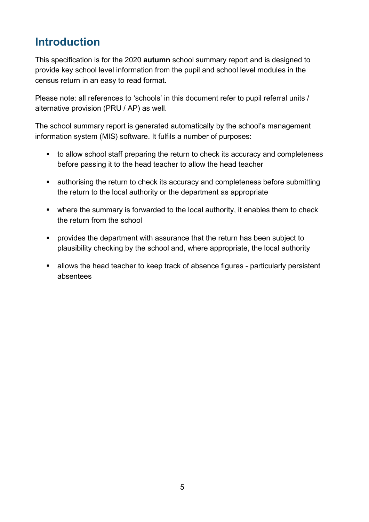# <span id="page-4-0"></span>**Introduction**

This specification is for the 2020 **autumn** school summary report and is designed to provide key school level information from the pupil and school level modules in the census return in an easy to read format.

Please note: all references to 'schools' in this document refer to pupil referral units / alternative provision (PRU / AP) as well.

The school summary report is generated automatically by the school's management information system (MIS) software. It fulfils a number of purposes:

- to allow school staff preparing the return to check its accuracy and completeness before passing it to the head teacher to allow the head teacher
- authorising the return to check its accuracy and completeness before submitting the return to the local authority or the department as appropriate
- where the summary is forwarded to the local authority, it enables them to check the return from the school
- **•** provides the department with assurance that the return has been subject to plausibility checking by the school and, where appropriate, the local authority
- allows the head teacher to keep track of absence figures particularly persistent absentees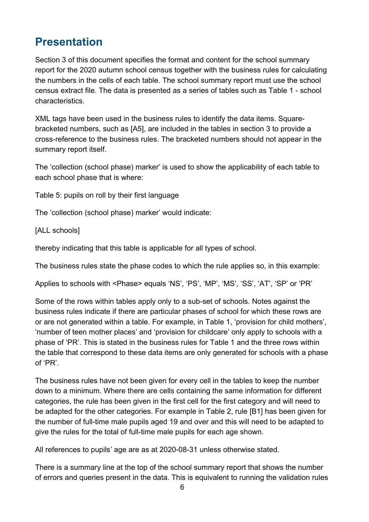# <span id="page-5-0"></span>**Presentation**

Section 3 of this document specifies the format and content for the school summary report for the 2020 autumn school census together with the business rules for calculating the numbers in the cells of each table. The school summary report must use the school census extract file. The data is presented as a series of tables such as Table 1 - school characteristics.

XML tags have been used in the business rules to identify the data items. Squarebracketed numbers, such as [A5], are included in the tables in section 3 to provide a cross-reference to the business rules. The bracketed numbers should not appear in the summary report itself.

The 'collection (school phase) marker' is used to show the applicability of each table to each school phase that is where:

Table 5: pupils on roll by their first language

The 'collection (school phase) marker' would indicate:

[ALL schools]

thereby indicating that this table is applicable for all types of school.

The business rules state the phase codes to which the rule applies so, in this example:

Applies to schools with <Phase> equals 'NS', 'PS', 'MP', 'MS', 'SS', 'AT', 'SP' or 'PR'

Some of the rows within tables apply only to a sub-set of schools. Notes against the business rules indicate if there are particular phases of school for which these rows are or are not generated within a table. For example, in Table 1, 'provision for child mothers', 'number of teen mother places' and 'provision for childcare' only apply to schools with a phase of 'PR'. This is stated in the business rules for Table 1 and the three rows within the table that correspond to these data items are only generated for schools with a phase of 'PR'.

The business rules have not been given for every cell in the tables to keep the number down to a minimum. Where there are cells containing the same information for different categories, the rule has been given in the first cell for the first category and will need to be adapted for the other categories. For example in Table 2, rule [B1] has been given for the number of full-time male pupils aged 19 and over and this will need to be adapted to give the rules for the total of full-time male pupils for each age shown.

All references to pupils' age are as at 2020-08-31 unless otherwise stated.

There is a summary line at the top of the school summary report that shows the number of errors and queries present in the data. This is equivalent to running the validation rules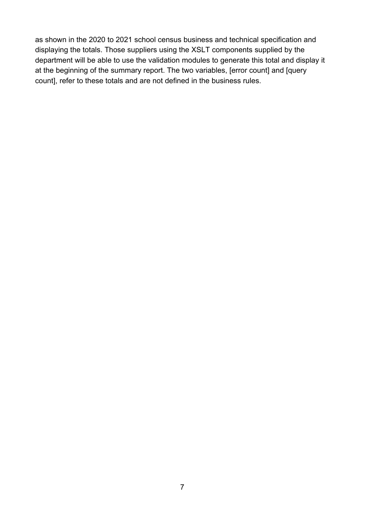as shown in the 2020 to 2021 school census business and technical specification and displaying the totals. Those suppliers using the XSLT components supplied by the department will be able to use the validation modules to generate this total and display it at the beginning of the summary report. The two variables, [error count] and [query count], refer to these totals and are not defined in the business rules.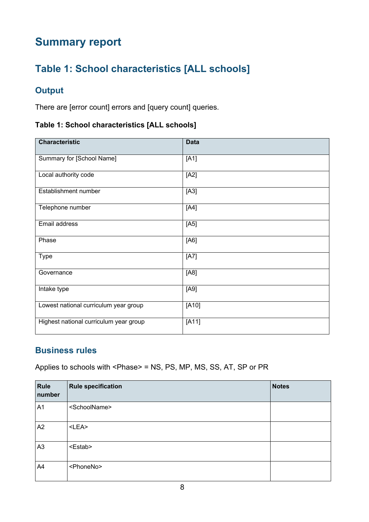# <span id="page-7-0"></span>**Summary report**

# <span id="page-7-1"></span>**Table 1: School characteristics [ALL schools]**

## **Output**

There are [error count] errors and [query count] queries.

#### **Table 1: School characteristics [ALL schools]**

| <b>Characteristic</b>                  | <b>Data</b> |
|----------------------------------------|-------------|
| Summary for [School Name]              | [A1]        |
| Local authority code                   | [A2]        |
| Establishment number                   | $[A3]$      |
| Telephone number                       | [A4]        |
| Email address                          | [A5]        |
| Phase                                  | [A6]        |
| <b>Type</b>                            | [A7]        |
| Governance                             | [A8]        |
| Intake type                            | [A9]        |
| Lowest national curriculum year group  | $[A10]$     |
| Highest national curriculum year group | $[A11]$     |

#### **Business rules**

Applies to schools with <Phase> = NS, PS, MP, MS, SS, AT, SP or PR

| Rule<br>number | <b>Rule specification</b> | <b>Notes</b> |
|----------------|---------------------------|--------------|
| A1             | <schoolname></schoolname> |              |
| A2             | $<$ LEA $>$               |              |
| A <sub>3</sub> | <estab></estab>           |              |
| A4             | <phoneno></phoneno>       |              |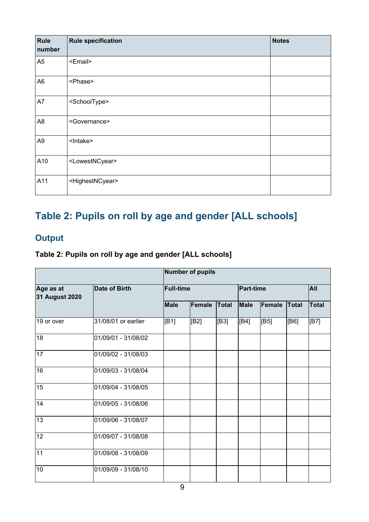| Rule<br>number | <b>Rule specification</b>       | <b>Notes</b> |
|----------------|---------------------------------|--------------|
| A <sub>5</sub> | <email></email>                 |              |
| A <sub>6</sub> | <phase></phase>                 |              |
| A7             | <schooltype></schooltype>       |              |
| A <sub>8</sub> | <governance></governance>       |              |
| A <sub>9</sub> | <lntake></lntake>               |              |
| A10            | <lowestncyear></lowestncyear>   |              |
| A11            | <highestncyear></highestncyear> |              |

# <span id="page-8-0"></span>**Table 2: Pupils on roll by age and gender [ALL schools]**

# **Output**

#### **Table 2: Pupils on roll by age and gender [ALL schools]**

|                                    |                      | Number of pupils |                  |              |      |                  |              |               |
|------------------------------------|----------------------|------------------|------------------|--------------|------|------------------|--------------|---------------|
| Age as at<br><b>31 August 2020</b> | <b>Date of Birth</b> |                  | <b>Full-time</b> |              |      | <b>Part-time</b> |              |               |
|                                    |                      | <b>Male</b>      | <b>Female</b>    | <b>Total</b> | Male | Female           | <b>Total</b> | <b>Total</b>  |
| 19 or over                         | 31/08/01 or earlier  | [B1]             | [B2]             | [B3]         | [B4] | [ <b>B5</b> ]    | [B6]         | [ <b>B7</b> ] |
| 18                                 | 01/09/01 - 31/08/02  |                  |                  |              |      |                  |              |               |
| 17                                 | 01/09/02 - 31/08/03  |                  |                  |              |      |                  |              |               |
| $\overline{16}$                    | 01/09/03 - 31/08/04  |                  |                  |              |      |                  |              |               |
| 15                                 | 01/09/04 - 31/08/05  |                  |                  |              |      |                  |              |               |
| 14                                 | 01/09/05 - 31/08/06  |                  |                  |              |      |                  |              |               |
| 13                                 | 01/09/06 - 31/08/07  |                  |                  |              |      |                  |              |               |
| 12                                 | 01/09/07 - 31/08/08  |                  |                  |              |      |                  |              |               |
| 11                                 | 01/09/08 - 31/08/09  |                  |                  |              |      |                  |              |               |
| 10                                 | 01/09/09 - 31/08/10  |                  |                  |              |      |                  |              |               |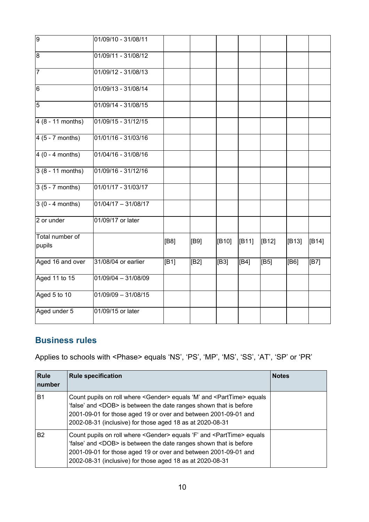| $\overline{9}$            | 01/09/10 - 31/08/11   |                   |      |       |       |                |               |       |
|---------------------------|-----------------------|-------------------|------|-------|-------|----------------|---------------|-------|
| $\overline{8}$            | 01/09/11 - 31/08/12   |                   |      |       |       |                |               |       |
| $\overline{7}$            | 01/09/12 - 31/08/13   |                   |      |       |       |                |               |       |
| $6\phantom{.}6$           | 01/09/13 - 31/08/14   |                   |      |       |       |                |               |       |
| $\overline{5}$            | 01/09/14 - 31/08/15   |                   |      |       |       |                |               |       |
| $4(8 - 11$ months)        | 01/09/15 - 31/12/15   |                   |      |       |       |                |               |       |
| $4(5 - 7$ months)         | 01/01/16 - 31/03/16   |                   |      |       |       |                |               |       |
| $4(0 - 4$ months)         | 01/04/16 - 31/08/16   |                   |      |       |       |                |               |       |
| $3(8 - 11$ months)        | 01/09/16 - 31/12/16   |                   |      |       |       |                |               |       |
| $3(5 - 7$ months)         | 01/01/17 - 31/03/17   |                   |      |       |       |                |               |       |
| $3(0 - 4$ months)         | $01/04/17 - 31/08/17$ |                   |      |       |       |                |               |       |
| 2 or under                | 01/09/17 or later     |                   |      |       |       |                |               |       |
| Total number of<br>pupils |                       | [ <b>B</b> 8]     | [B9] | [B10] | [B11] | [ <b>B12</b> ] | [B13]         | [B14] |
| Aged 16 and over          | 31/08/04 or earlier   | $\overline{[B1]}$ | [B2] | [B3]  | [B4]  | [B5]           | [ <b>B6</b> ] | [B7]  |
| Aged 11 to 15             | $01/09/04 - 31/08/09$ |                   |      |       |       |                |               |       |
| Aged 5 to 10              | $01/09/09 - 31/08/15$ |                   |      |       |       |                |               |       |
| Aged under 5              | 01/09/15 or later     |                   |      |       |       |                |               |       |

Applies to schools with <Phase> equals 'NS', 'PS', 'MP', 'MS', 'SS', 'AT', 'SP' or 'PR'

| <b>Rule</b><br>number | <b>Rule specification</b>                                                                                                                                                                                                                                                                              | <b>Notes</b> |
|-----------------------|--------------------------------------------------------------------------------------------------------------------------------------------------------------------------------------------------------------------------------------------------------------------------------------------------------|--------------|
| <b>B1</b>             | Count pupils on roll where <gender> equals 'M' and <parttime> equals<br/>'false' and <dob> is between the date ranges shown that is before<br/>2001-09-01 for those aged 19 or over and between 2001-09-01 and<br/>2002-08-31 (inclusive) for those aged 18 as at 2020-08-31</dob></parttime></gender> |              |
| <b>B2</b>             | Count pupils on roll where <gender> equals 'F' and <parttime> equals<br/>'false' and <dob> is between the date ranges shown that is before<br/>2001-09-01 for those aged 19 or over and between 2001-09-01 and<br/>2002-08-31 (inclusive) for those aged 18 as at 2020-08-31</dob></parttime></gender> |              |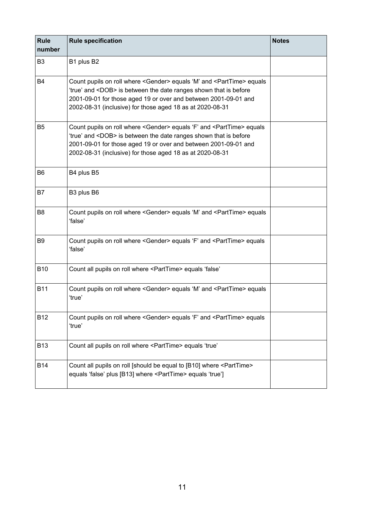| <b>Rule</b><br>number | <b>Rule specification</b>                                                                                                                                                                                                                                                                             | <b>Notes</b> |
|-----------------------|-------------------------------------------------------------------------------------------------------------------------------------------------------------------------------------------------------------------------------------------------------------------------------------------------------|--------------|
| B <sub>3</sub>        | B1 plus B2                                                                                                                                                                                                                                                                                            |              |
| <b>B4</b>             | Count pupils on roll where <gender> equals 'M' and <parttime> equals<br/>'true' and <dob> is between the date ranges shown that is before<br/>2001-09-01 for those aged 19 or over and between 2001-09-01 and<br/>2002-08-31 (inclusive) for those aged 18 as at 2020-08-31</dob></parttime></gender> |              |
| B <sub>5</sub>        | Count pupils on roll where <gender> equals 'F' and <parttime> equals<br/>'true' and <dob> is between the date ranges shown that is before<br/>2001-09-01 for those aged 19 or over and between 2001-09-01 and<br/>2002-08-31 (inclusive) for those aged 18 as at 2020-08-31</dob></parttime></gender> |              |
| B <sub>6</sub>        | B4 plus B5                                                                                                                                                                                                                                                                                            |              |
| B7                    | B3 plus B6                                                                                                                                                                                                                                                                                            |              |
| B <sub>8</sub>        | Count pupils on roll where <gender> equals 'M' and <parttime> equals<br/>ʻfalse'</parttime></gender>                                                                                                                                                                                                  |              |
| B9                    | Count pupils on roll where <gender> equals 'F' and <parttime> equals<br/>'false'</parttime></gender>                                                                                                                                                                                                  |              |
| <b>B10</b>            | Count all pupils on roll where <parttime> equals 'false'</parttime>                                                                                                                                                                                                                                   |              |
| <b>B11</b>            | Count pupils on roll where <gender> equals 'M' and <parttime> equals<br/>'true'</parttime></gender>                                                                                                                                                                                                   |              |
| B12                   | Count pupils on roll where <gender> equals 'F' and <parttime> equals<br/>'true'</parttime></gender>                                                                                                                                                                                                   |              |
| <b>B13</b>            | Count all pupils on roll where <parttime> equals 'true'</parttime>                                                                                                                                                                                                                                    |              |
| <b>B14</b>            | Count all pupils on roll [should be equal to [B10] where <parttime><br/>equals 'false' plus [B13] where <parttime> equals 'true']</parttime></parttime>                                                                                                                                               |              |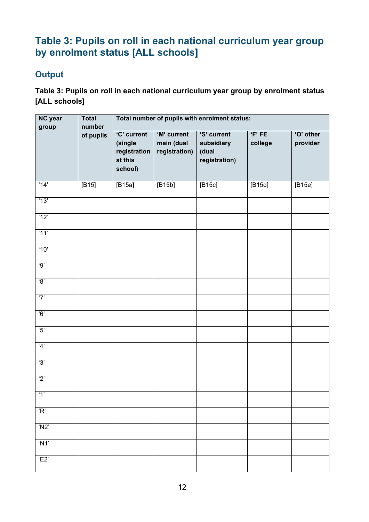# <span id="page-11-0"></span>**Table 3: Pupils on roll in each national curriculum year group by enrolment status [ALL schools]**

#### **Output**

**Table 3: Pupils on roll in each national curriculum year group by enrolment status [ALL schools]**

| NC year<br>group        | Total<br>number | Total number of pupils with enrolment status:                |                                            |                                                     |                 |                       |  |  |
|-------------------------|-----------------|--------------------------------------------------------------|--------------------------------------------|-----------------------------------------------------|-----------------|-----------------------|--|--|
|                         | of pupils       | 'C' current<br>(single<br>registration<br>at this<br>school) | 'M' current<br>main (dual<br>registration) | 'S' current<br>subsidiary<br>(dual<br>registration) | F'FE<br>college | 'O' other<br>provider |  |  |
| '14'                    | $[B15]$         | [B15a]                                                       | [B15b]                                     | [B15c]                                              | [B15d]          | [B15e]                |  |  |
| '13'                    |                 |                                                              |                                            |                                                     |                 |                       |  |  |
| '12'                    |                 |                                                              |                                            |                                                     |                 |                       |  |  |
| 11'                     |                 |                                                              |                                            |                                                     |                 |                       |  |  |
| '10'                    |                 |                                                              |                                            |                                                     |                 |                       |  |  |
| '9'                     |                 |                                                              |                                            |                                                     |                 |                       |  |  |
| $\overline{3}$          |                 |                                                              |                                            |                                                     |                 |                       |  |  |
| '7'                     |                 |                                                              |                                            |                                                     |                 |                       |  |  |
| 6'                      |                 |                                                              |                                            |                                                     |                 |                       |  |  |
| $\overline{\mathbf{5}}$ |                 |                                                              |                                            |                                                     |                 |                       |  |  |
| 4'                      |                 |                                                              |                                            |                                                     |                 |                       |  |  |
| '3'                     |                 |                                                              |                                            |                                                     |                 |                       |  |  |
| $\overline{2}$          |                 |                                                              |                                            |                                                     |                 |                       |  |  |
| $^{\prime}1^{\prime}$   |                 |                                                              |                                            |                                                     |                 |                       |  |  |
| R                       |                 |                                                              |                                            |                                                     |                 |                       |  |  |
| $'$ N2'                 |                 |                                                              |                                            |                                                     |                 |                       |  |  |
| 'N1'                    |                 |                                                              |                                            |                                                     |                 |                       |  |  |
| 'E2'                    |                 |                                                              |                                            |                                                     |                 |                       |  |  |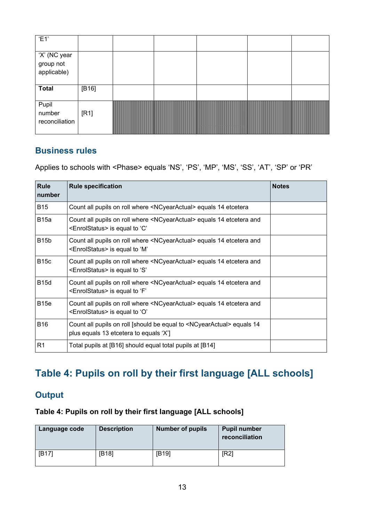| 'E1'                                     |       |  |  |  |
|------------------------------------------|-------|--|--|--|
| 'X' (NC year<br>group not<br>applicable) |       |  |  |  |
| <b>Total</b>                             | [B16] |  |  |  |
| Pupil<br>number<br>reconciliation        | [R1]  |  |  |  |

Applies to schools with <Phase> equals 'NS', 'PS', 'MP', 'MS', 'SS', 'AT', 'SP' or 'PR'

| <b>Rule</b><br>number | <b>Rule specification</b>                                                                                                           | <b>Notes</b> |
|-----------------------|-------------------------------------------------------------------------------------------------------------------------------------|--------------|
| <b>B15</b>            | Count all pupils on roll where <ncyearactual> equals 14 etcetera</ncyearactual>                                                     |              |
| <b>B</b> 15a          | Count all pupils on roll where <ncyearactual> equals 14 etcetera and<br/><enrolstatus> is equal to 'C'</enrolstatus></ncyearactual> |              |
| <b>B15b</b>           | Count all pupils on roll where <ncyearactual> equals 14 etcetera and<br/><enrolstatus> is equal to 'M'</enrolstatus></ncyearactual> |              |
| <b>B15c</b>           | Count all pupils on roll where <ncyearactual> equals 14 etcetera and<br/><enrolstatus> is equal to 'S'</enrolstatus></ncyearactual> |              |
| <b>B15d</b>           | Count all pupils on roll where <ncyearactual> equals 14 etcetera and<br/><enrolstatus> is equal to 'F'</enrolstatus></ncyearactual> |              |
| <b>B</b> 15e          | Count all pupils on roll where <ncyearactual> equals 14 etcetera and<br/><enrolstatus> is equal to 'O'</enrolstatus></ncyearactual> |              |
| <b>B16</b>            | Count all pupils on roll [should be equal to <ncyearactual> equals 14<br/>plus equals 13 etcetera to equals 'X']</ncyearactual>     |              |
| R <sub>1</sub>        | Total pupils at [B16] should equal total pupils at [B14]                                                                            |              |

# <span id="page-12-0"></span>**Table 4: Pupils on roll by their first language [ALL schools]**

#### **Output**

#### **Table 4: Pupils on roll by their first language [ALL schools]**

| Language code | <b>Description</b> | <b>Number of pupils</b> | <b>Pupil number</b><br>reconciliation |
|---------------|--------------------|-------------------------|---------------------------------------|
| [B17]         | [B18]              | [B19]                   | [R2]                                  |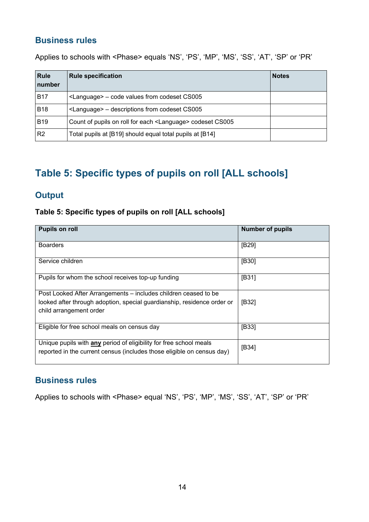Applies to schools with <Phase> equals 'NS', 'PS', 'MP', 'MS', 'SS', 'AT', 'SP' or 'PR'

| <b>Rule</b><br>number | <b>Rule specification</b>                                            | <b>Notes</b> |
|-----------------------|----------------------------------------------------------------------|--------------|
| <b>B17</b>            | <language> – code values from codeset CS005</language>               |              |
| <b>B18</b>            | <language> – descriptions from codeset CS005</language>              |              |
| <b>B19</b>            | Count of pupils on roll for each <language> codeset CS005</language> |              |
| R <sub>2</sub>        | Total pupils at [B19] should equal total pupils at [B14]             |              |

# <span id="page-13-0"></span>**Table 5: Specific types of pupils on roll [ALL schools]**

#### **Output**

#### **Table 5: Specific types of pupils on roll [ALL schools]**

| <b>Pupils on roll</b>                                                                                                                                                 | <b>Number of pupils</b> |
|-----------------------------------------------------------------------------------------------------------------------------------------------------------------------|-------------------------|
| <b>Boarders</b>                                                                                                                                                       | [ <b>B29</b> ]          |
| Service children                                                                                                                                                      | [B30]                   |
| Pupils for whom the school receives top-up funding                                                                                                                    | [ <b>B31</b> ]          |
| Post Looked After Arrangements – includes children ceased to be<br>looked after through adoption, special guardianship, residence order or<br>child arrangement order | [ <b>B32</b> ]          |
| Eligible for free school meals on census day                                                                                                                          | [ <b>B33</b> ]          |
| Unique pupils with <b>any</b> period of eligibility for free school meals<br>reported in the current census (includes those eligible on census day)                   | [ <b>B34</b> ]          |

#### **Business rules**

Applies to schools with <Phase> equal 'NS', 'PS', 'MP', 'MS', 'SS', 'AT', 'SP' or 'PR'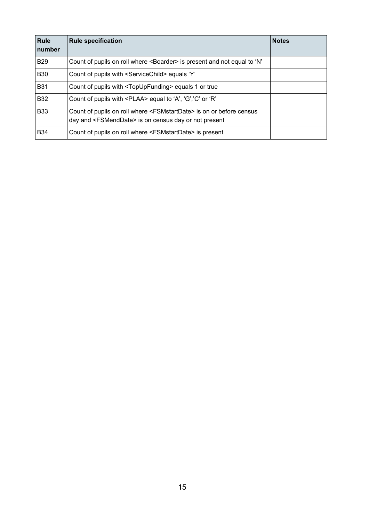| <b>Rule</b><br>number | <b>Rule specification</b>                                                                                                                                | <b>Notes</b> |
|-----------------------|----------------------------------------------------------------------------------------------------------------------------------------------------------|--------------|
| <b>B29</b>            | Count of pupils on roll where <boarder> is present and not equal to 'N'</boarder>                                                                        |              |
| <b>B30</b>            | Count of pupils with <servicechild> equals 'Y'</servicechild>                                                                                            |              |
| <b>B31</b>            | Count of pupils with <topupfunding> equals 1 or true</topupfunding>                                                                                      |              |
| <b>B32</b>            | Count of pupils with <plaa> equal to 'A', 'G', 'C' or 'R'</plaa>                                                                                         |              |
| <b>B33</b>            | Count of pupils on roll where <fsmstartdate> is on or before census<br/>day and <fsmenddate> is on census day or not present</fsmenddate></fsmstartdate> |              |
| <b>B34</b>            | Count of pupils on roll where <fsmstartdate> is present</fsmstartdate>                                                                                   |              |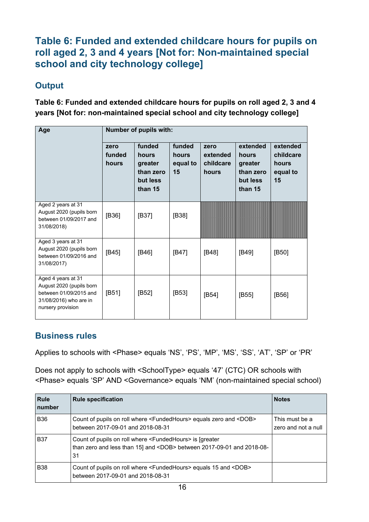## <span id="page-15-0"></span>**Table 6: Funded and extended childcare hours for pupils on roll aged 2, 3 and 4 years [Not for: Non-maintained special school and city technology college]**

#### **Output**

**Table 6: Funded and extended childcare hours for pupils on roll aged 2, 3 and 4 years [Not for: non-maintained special school and city technology college]**

| Age                                                                                                                     | Number of pupils with:  |                                                                |                                   |                                        |                                                                  |                                                  |
|-------------------------------------------------------------------------------------------------------------------------|-------------------------|----------------------------------------------------------------|-----------------------------------|----------------------------------------|------------------------------------------------------------------|--------------------------------------------------|
|                                                                                                                         | zero<br>funded<br>hours | funded<br>hours<br>greater<br>than zero<br>but less<br>than 15 | funded<br>hours<br>equal to<br>15 | zero<br>extended<br>childcare<br>hours | extended<br>hours<br>greater<br>than zero<br>but less<br>than 15 | extended<br>childcare<br>hours<br>equal to<br>15 |
| Aged 2 years at 31<br>August 2020 (pupils born<br>between 01/09/2017 and<br>31/08/2018)                                 | [B36]                   | [B37]                                                          | [B38]                             |                                        |                                                                  |                                                  |
| Aged 3 years at 31<br>August 2020 (pupils born<br>between 01/09/2016 and<br>31/08/2017)                                 | [B45]                   | [B46]                                                          | [B47]                             | [B48]                                  | [B49]                                                            | [B50]                                            |
| Aged 4 years at 31<br>August 2020 (pupils born<br>between 01/09/2015 and<br>31/08/2016) who are in<br>nursery provision | [B51]                   | [B52]                                                          | [B53]                             | [ <b>B54</b> ]                         | [ <b>B55</b> ]                                                   | [ <b>B56</b> ]                                   |

#### **Business rules**

Applies to schools with <Phase> equals 'NS', 'PS', 'MP', 'MS', 'SS', 'AT', 'SP' or 'PR'

Does not apply to schools with <SchoolType> equals '47' (CTC) OR schools with <Phase> equals 'SP' AND <Governance> equals 'NM' (non-maintained special school)

| <b>Rule</b><br><b>Inumber</b> | <b>Rule specification</b>                                                                                                                                    | <b>Notes</b>                          |
|-------------------------------|--------------------------------------------------------------------------------------------------------------------------------------------------------------|---------------------------------------|
| <b>B36</b>                    | Count of pupils on roll where <fundedhours> equals zero and <dob><br/>between 2017-09-01 and 2018-08-31</dob></fundedhours>                                  | This must be a<br>zero and not a null |
| <b>B37</b>                    | Count of pupils on roll where <fundedhours> is [greater<br/>than zero and less than 15] and <dob> between 2017-09-01 and 2018-08-<br/>31</dob></fundedhours> |                                       |
| <b>B38</b>                    | Count of pupils on roll where <fundedhours> equals 15 and <dob><br/>between 2017-09-01 and 2018-08-31</dob></fundedhours>                                    |                                       |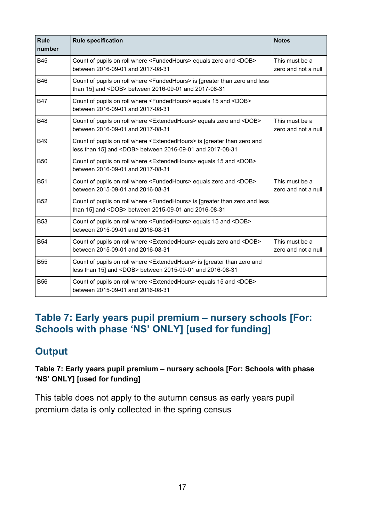| <b>Rule</b><br>number | <b>Rule specification</b>                                                                                                                                   | <b>Notes</b>                          |
|-----------------------|-------------------------------------------------------------------------------------------------------------------------------------------------------------|---------------------------------------|
| <b>B45</b>            | Count of pupils on roll where <fundedhours> equals zero and <dob><br/>between 2016-09-01 and 2017-08-31</dob></fundedhours>                                 | This must be a<br>zero and not a null |
| <b>B46</b>            | Count of pupils on roll where <fundedhours> is [greater than zero and less<br/>than 15] and <dob> between 2016-09-01 and 2017-08-31</dob></fundedhours>     |                                       |
| <b>B47</b>            | Count of pupils on roll where <fundedhours> equals 15 and <dob><br/>between 2016-09-01 and 2017-08-31</dob></fundedhours>                                   |                                       |
| <b>B48</b>            | Count of pupils on roll where <extendedhours> equals zero and <dob><br/>between 2016-09-01 and 2017-08-31</dob></extendedhours>                             | This must be a<br>zero and not a null |
| <b>B49</b>            | Count of pupils on roll where <extendedhours> is [greater than zero and<br/>less than 15] and <dob> between 2016-09-01 and 2017-08-31</dob></extendedhours> |                                       |
| <b>B50</b>            | Count of pupils on roll where <extendedhours> equals 15 and <dob><br/>between 2016-09-01 and 2017-08-31</dob></extendedhours>                               |                                       |
| <b>B51</b>            | Count of pupils on roll where <fundedhours> equals zero and <dob><br/>between 2015-09-01 and 2016-08-31</dob></fundedhours>                                 | This must be a<br>zero and not a null |
| <b>B52</b>            | Count of pupils on roll where <fundedhours> is [greater than zero and less<br/>than 15] and <dob> between 2015-09-01 and 2016-08-31</dob></fundedhours>     |                                       |
| <b>B53</b>            | Count of pupils on roll where <fundedhours> equals 15 and <dob><br/>between 2015-09-01 and 2016-08-31</dob></fundedhours>                                   |                                       |
| <b>B54</b>            | Count of pupils on roll where <extendedhours> equals zero and <dob><br/>between 2015-09-01 and 2016-08-31</dob></extendedhours>                             | This must be a<br>zero and not a null |
| <b>B55</b>            | Count of pupils on roll where <extendedhours> is [greater than zero and<br/>less than 15] and <dob> between 2015-09-01 and 2016-08-31</dob></extendedhours> |                                       |
| <b>B56</b>            | Count of pupils on roll where <extendedhours> equals 15 and <dob><br/>between 2015-09-01 and 2016-08-31</dob></extendedhours>                               |                                       |

# <span id="page-16-0"></span>**Table 7: Early years pupil premium – nursery schools [For: Schools with phase 'NS' ONLY] [used for funding]**

# **Output**

#### **Table 7: Early years pupil premium – nursery schools [For: Schools with phase 'NS' ONLY] [used for funding]**

This table does not apply to the autumn census as early years pupil premium data is only collected in the spring census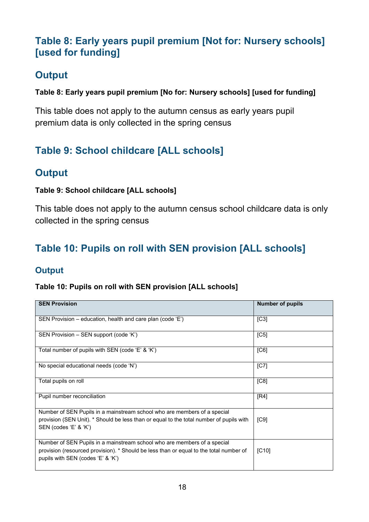# <span id="page-17-0"></span>**Table 8: Early years pupil premium [Not for: Nursery schools] [used for funding]**

# **Output**

#### **Table 8: Early years pupil premium [No for: Nursery schools] [used for funding]**

This table does not apply to the autumn census as early years pupil premium data is only collected in the spring census

# <span id="page-17-1"></span>**Table 9: School childcare [ALL schools]**

# **Output**

#### **Table 9: School childcare [ALL schools]**

This table does not apply to the autumn census school childcare data is only collected in the spring census

# <span id="page-17-2"></span>**Table 10: Pupils on roll with SEN provision [ALL schools]**

#### **Output**

#### **Table 10: Pupils on roll with SEN provision [ALL schools]**

| <b>SEN Provision</b>                                                                                                                                                                                    | <b>Number of pupils</b> |
|---------------------------------------------------------------------------------------------------------------------------------------------------------------------------------------------------------|-------------------------|
| SEN Provision – education, health and care plan (code 'E')                                                                                                                                              | [C3]                    |
| SEN Provision - SEN support (code 'K')                                                                                                                                                                  | [C5]                    |
| Total number of pupils with SEN (code 'E' & 'K')                                                                                                                                                        | [CG]                    |
| No special educational needs (code 'N')                                                                                                                                                                 | [ <sup>C7</sup> ]       |
| Total pupils on roll                                                                                                                                                                                    | [C8]                    |
| Pupil number reconciliation                                                                                                                                                                             | [R4]                    |
| Number of SEN Pupils in a mainstream school who are members of a special<br>provision (SEN Unit). * Should be less than or equal to the total number of pupils with<br>SEN (codes 'E' & 'K')            | [C9]                    |
| Number of SEN Pupils in a mainstream school who are members of a special<br>provision (resourced provision). * Should be less than or equal to the total number of<br>pupils with SEN (codes 'E' & 'K') | [C10]                   |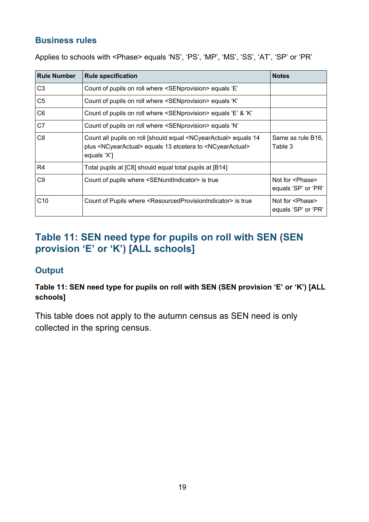Applies to schools with <Phase> equals 'NS', 'PS', 'MP', 'MS', 'SS', 'AT', 'SP' or 'PR'

| <b>Rule Number</b> | <b>Rule specification</b>                                                                                                                                                                 | <b>Notes</b>                                    |
|--------------------|-------------------------------------------------------------------------------------------------------------------------------------------------------------------------------------------|-------------------------------------------------|
| C <sub>3</sub>     | Count of pupils on roll where <senprovision> equals 'E'</senprovision>                                                                                                                    |                                                 |
| C <sub>5</sub>     | Count of pupils on roll where <senprovision> equals 'K'</senprovision>                                                                                                                    |                                                 |
| C <sub>6</sub>     | Count of pupils on roll where <senprovision> equals 'E' &amp; 'K'</senprovision>                                                                                                          |                                                 |
| C7                 | Count of pupils on roll where <senprovision> equals 'N'</senprovision>                                                                                                                    |                                                 |
| C <sub>8</sub>     | Count all pupils on roll [should equal <ncyearactual> equals 14<br/>plus <ncyearactual> equals 13 etcetera to <ncyearactual><br/>equals 'X']</ncyearactual></ncyearactual></ncyearactual> | Same as rule B16,<br>Table 3                    |
| R <sub>4</sub>     | Total pupils at [C8] should equal total pupils at [B14]                                                                                                                                   |                                                 |
| C <sub>9</sub>     | Count of pupils where <senunitindicator> is true</senunitindicator>                                                                                                                       | Not for <phase><br/>equals 'SP' or 'PR'</phase> |
| C10                | Count of Pupils where <resourcedprovisionindicator> is true</resourcedprovisionindicator>                                                                                                 | Not for <phase><br/>equals 'SP' or 'PR'</phase> |

# <span id="page-18-0"></span>**Table 11: SEN need type for pupils on roll with SEN (SEN provision 'E' or 'K') [ALL schools]**

#### **Output**

**Table 11: SEN need type for pupils on roll with SEN (SEN provision 'E' or 'K') [ALL schools]**

This table does not apply to the autumn census as SEN need is only collected in the spring census.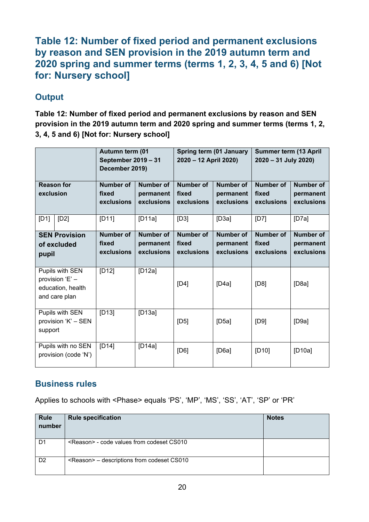#### <span id="page-19-0"></span>**Table 12: Number of fixed period and permanent exclusions by reason and SEN provision in the 2019 autumn term and 2020 spring and summer terms (terms 1, 2, 3, 4, 5 and 6) [Not for: Nursery school]**

#### **Output**

**Table 12: Number of fixed period and permanent exclusions by reason and SEN provision in the 2019 autumn term and 2020 spring and summer terms (terms 1, 2, 3, 4, 5 and 6) [Not for: Nursery school]**

|                                                                          |                                            | Autumn term (01<br>September 2019 - 31<br>December 2019) |                                             | Spring term (01 January<br>2020 - 12 April 2020) |                                             | <b>Summer term (13 April</b><br>2020 - 31 July 2020) |                                             |
|--------------------------------------------------------------------------|--------------------------------------------|----------------------------------------------------------|---------------------------------------------|--------------------------------------------------|---------------------------------------------|------------------------------------------------------|---------------------------------------------|
| <b>Reason for</b><br>exclusion                                           |                                            | Number of<br>fixed<br>exclusions                         | Number of<br>permanent<br>exclusions        | Number of<br>fixed<br>exclusions                 | Number of<br>permanent<br>exclusions        | Number of<br>fixed<br>exclusions                     | <b>Number of</b><br>permanent<br>exclusions |
| [D1]                                                                     | [D2]                                       | [D11]                                                    | [D11a]                                      | [D3]                                             | [D3a]                                       | [D7]                                                 | [D7a]                                       |
| <b>SEN Provision</b><br>of excluded<br>pupil                             |                                            | <b>Number of</b><br>fixed<br>exclusions                  | Number of<br>permanent<br><b>exclusions</b> | Number of<br>fixed<br>exclusions                 | <b>Number of</b><br>permanent<br>exclusions | Number of<br>fixed<br>exclusions                     | <b>Number of</b><br>permanent<br>exclusions |
| Pupils with SEN<br>provision 'E' -<br>education, health<br>and care plan |                                            | $[D12]$                                                  | [D12a]                                      | [D4]                                             | [D4a]                                       | [D8]                                                 | [D8a]                                       |
| Pupils with SEN<br>provision 'K' - SEN<br>support                        |                                            | $[D13]$                                                  | [D13a]                                      | [D5]                                             | [D5a]                                       | [D9]                                                 | [D9a]                                       |
|                                                                          | Pupils with no SEN<br>provision (code 'N') | [D14]                                                    | [D14a]                                      | [D6]                                             | [D6a]                                       | [D10]                                                | [D10a]                                      |

#### **Business rules**

Applies to schools with <Phase> equals 'PS', 'MP', 'MS', 'SS', 'AT', 'SP' or 'PR'

| <b>Rule</b>    | <b>Rule specification</b>                           | <b>Notes</b> |
|----------------|-----------------------------------------------------|--------------|
| number         |                                                     |              |
|                |                                                     |              |
| D1             | <reason> - code values from codeset CS010</reason>  |              |
| D <sub>2</sub> | <reason> - descriptions from codeset CS010</reason> |              |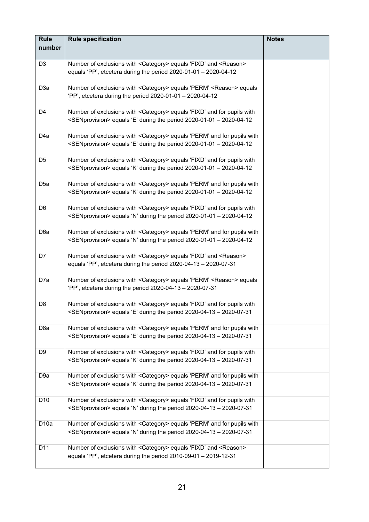| <b>Rule</b><br>number | <b>Rule specification</b>                                                                                                                                                | <b>Notes</b> |
|-----------------------|--------------------------------------------------------------------------------------------------------------------------------------------------------------------------|--------------|
|                       |                                                                                                                                                                          |              |
| D <sub>3</sub>        | Number of exclusions with <category> equals 'FIXD' and <reason><br/>equals 'PP', etcetera during the period <math>2020-01-01 - 2020-04-12</math></reason></category>     |              |
| D <sub>3</sub> a      | Number of exclusions with <category> equals 'PERM' <reason> equals<br/>'PP', etcetera during the period 2020-01-01 - 2020-04-12</reason></category>                      |              |
| D4                    | Number of exclusions with <category> equals 'FIXD' and for pupils with<br/><senprovision> equals 'E' during the period 2020-01-01 - 2020-04-12</senprovision></category> |              |
| D <sub>4</sub> a      | Number of exclusions with <category> equals 'PERM' and for pupils with<br/><senprovision> equals 'E' during the period 2020-01-01 - 2020-04-12</senprovision></category> |              |
| D <sub>5</sub>        | Number of exclusions with <category> equals 'FIXD' and for pupils with<br/><senprovision> equals 'K' during the period 2020-01-01 - 2020-04-12</senprovision></category> |              |
| D <sub>5a</sub>       | Number of exclusions with <category> equals 'PERM' and for pupils with<br/><senprovision> equals 'K' during the period 2020-01-01 - 2020-04-12</senprovision></category> |              |
| D <sub>6</sub>        | Number of exclusions with <category> equals 'FIXD' and for pupils with<br/><senprovision> equals 'N' during the period 2020-01-01 - 2020-04-12</senprovision></category> |              |
| D6a                   | Number of exclusions with <category> equals 'PERM' and for pupils with<br/><senprovision> equals 'N' during the period 2020-01-01 - 2020-04-12</senprovision></category> |              |
| D7                    | Number of exclusions with <category> equals 'FIXD' and <reason><br/>equals 'PP', etcetera during the period 2020-04-13 - 2020-07-31</reason></category>                  |              |
| D7a                   | Number of exclusions with <category> equals 'PERM' <reason> equals<br/>'PP', etcetera during the period 2020-04-13 - 2020-07-31</reason></category>                      |              |
| D <sub>8</sub>        | Number of exclusions with <category> equals 'FIXD' and for pupils with<br/><senprovision> equals 'E' during the period 2020-04-13 - 2020-07-31</senprovision></category> |              |
| D <sub>8</sub> a      | Number of exclusions with <category> equals 'PERM' and for pupils with<br/><senprovision> equals 'E' during the period 2020-04-13 - 2020-07-31</senprovision></category> |              |
| D9                    | Number of exclusions with <category> equals 'FIXD' and for pupils with<br/><senprovision> equals 'K' during the period 2020-04-13 - 2020-07-31</senprovision></category> |              |
| D <sub>9a</sub>       | Number of exclusions with <category> equals 'PERM' and for pupils with<br/><senprovision> equals 'K' during the period 2020-04-13 - 2020-07-31</senprovision></category> |              |
| D <sub>10</sub>       | Number of exclusions with <category> equals 'FIXD' and for pupils with<br/><senprovision> equals 'N' during the period 2020-04-13 - 2020-07-31</senprovision></category> |              |
| D <sub>10a</sub>      | Number of exclusions with <category> equals 'PERM' and for pupils with<br/><senprovision> equals 'N' during the period 2020-04-13 - 2020-07-31</senprovision></category> |              |
| D11                   | Number of exclusions with <category> equals 'FIXD' and <reason><br/>equals 'PP', etcetera during the period 2010-09-01 - 2019-12-31</reason></category>                  |              |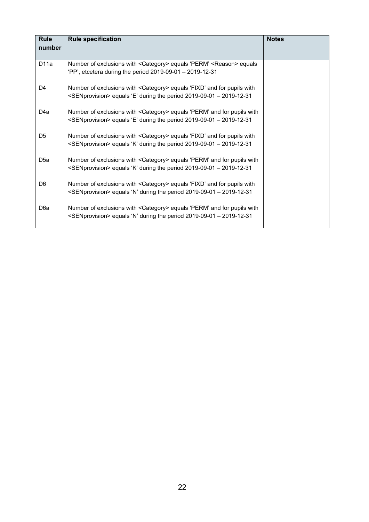| <b>Rule</b>      | <b>Rule specification</b>                                                                                                                                                | <b>Notes</b> |
|------------------|--------------------------------------------------------------------------------------------------------------------------------------------------------------------------|--------------|
| number           |                                                                                                                                                                          |              |
| D <sub>11a</sub> | Number of exclusions with <category> equals 'PERM' <reason> equals<br/>'PP', etcetera during the period <math>2019-09-01 - 2019-12-31</math></reason></category>         |              |
| D4               | Number of exclusions with <category> equals 'FIXD' and for pupils with<br/><senprovision> equals 'E' during the period 2019-09-01 - 2019-12-31</senprovision></category> |              |
| D <sub>4</sub> a | Number of exclusions with <category> equals 'PERM' and for pupils with<br/><senprovision> equals 'E' during the period 2019-09-01 - 2019-12-31</senprovision></category> |              |
| D <sub>5</sub>   | Number of exclusions with <category> equals 'FIXD' and for pupils with<br/><senprovision> equals 'K' during the period 2019-09-01 - 2019-12-31</senprovision></category> |              |
| D <sub>5a</sub>  | Number of exclusions with <category> equals 'PERM' and for pupils with<br/><senprovision> equals 'K' during the period 2019-09-01 - 2019-12-31</senprovision></category> |              |
| D <sub>6</sub>   | Number of exclusions with <category> equals 'FIXD' and for pupils with<br/><senprovision> equals 'N' during the period 2019-09-01 - 2019-12-31</senprovision></category> |              |
| D <sub>6</sub> a | Number of exclusions with <category> equals 'PERM' and for pupils with<br/><senprovision> equals 'N' during the period 2019-09-01 - 2019-12-31</senprovision></category> |              |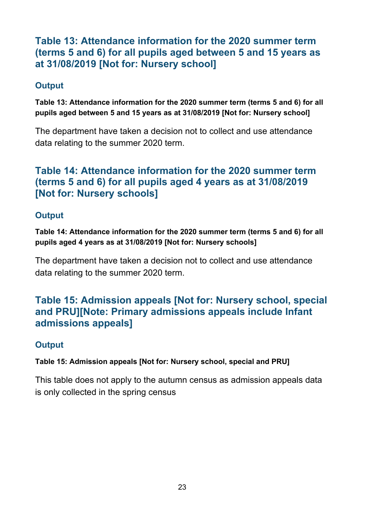## <span id="page-22-0"></span>**Table 13: Attendance information for the 2020 summer term (terms 5 and 6) for all pupils aged between 5 and 15 years as at 31/08/2019 [Not for: Nursery school]**

#### **Output**

**Table 13: Attendance information for the 2020 summer term (terms 5 and 6) for all pupils aged between 5 and 15 years as at 31/08/2019 [Not for: Nursery school]**

The department have taken a decision not to collect and use attendance data relating to the summer 2020 term.

# <span id="page-22-1"></span>**Table 14: Attendance information for the 2020 summer term (terms 5 and 6) for all pupils aged 4 years as at 31/08/2019 [Not for: Nursery schools]**

#### **Output**

**Table 14: Attendance information for the 2020 summer term (terms 5 and 6) for all pupils aged 4 years as at 31/08/2019 [Not for: Nursery schools]** 

The department have taken a decision not to collect and use attendance data relating to the summer 2020 term.

# <span id="page-22-2"></span>**Table 15: Admission appeals [Not for: Nursery school, special and PRU][Note: Primary admissions appeals include Infant admissions appeals]**

## **Output**

#### **Table 15: Admission appeals [Not for: Nursery school, special and PRU]**

This table does not apply to the autumn census as admission appeals data is only collected in the spring census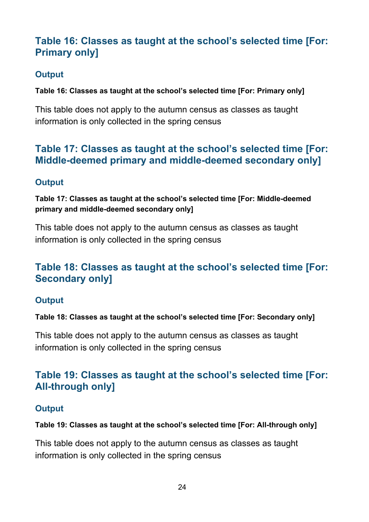# <span id="page-23-0"></span>**Table 16: Classes as taught at the school's selected time [For: Primary only]**

#### **Output**

**Table 16: Classes as taught at the school's selected time [For: Primary only]**

This table does not apply to the autumn census as classes as taught information is only collected in the spring census

#### <span id="page-23-1"></span>**Table 17: Classes as taught at the school's selected time [For: Middle-deemed primary and middle-deemed secondary only]**

#### **Output**

**Table 17: Classes as taught at the school's selected time [For: Middle-deemed primary and middle-deemed secondary only]**

This table does not apply to the autumn census as classes as taught information is only collected in the spring census

# <span id="page-23-2"></span>**Table 18: Classes as taught at the school's selected time [For: Secondary only]**

#### **Output**

**Table 18: Classes as taught at the school's selected time [For: Secondary only]**

This table does not apply to the autumn census as classes as taught information is only collected in the spring census

# <span id="page-23-3"></span>**Table 19: Classes as taught at the school's selected time [For: All-through only]**

#### **Output**

**Table 19: Classes as taught at the school's selected time [For: All-through only]**

This table does not apply to the autumn census as classes as taught information is only collected in the spring census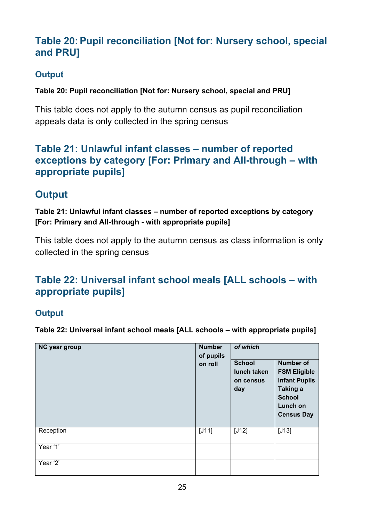# <span id="page-24-0"></span>**Table 20: Pupil reconciliation [Not for: Nursery school, special and PRU]**

#### **Output**

**Table 20: Pupil reconciliation [Not for: Nursery school, special and PRU]**

This table does not apply to the autumn census as pupil reconciliation appeals data is only collected in the spring census

## <span id="page-24-1"></span>**Table 21: Unlawful infant classes – number of reported exceptions by category [For: Primary and All-through – with appropriate pupils]**

# **Output**

**Table 21: Unlawful infant classes – number of reported exceptions by category [For: Primary and All-through - with appropriate pupils]**

This table does not apply to the autumn census as class information is only collected in the spring census

# <span id="page-24-2"></span>**Table 22: Universal infant school meals [ALL schools – with appropriate pupils]**

#### **Output**

**Table 22: Universal infant school meals [ALL schools – with appropriate pupils]**

| NC year group | <b>Number</b><br>of pupils<br>on roll | of which<br><b>School</b><br>lunch taken<br>on census<br>day | <b>Number of</b><br><b>FSM Eligible</b><br><b>Infant Pupils</b><br>Taking a<br><b>School</b><br>Lunch on<br><b>Census Day</b> |
|---------------|---------------------------------------|--------------------------------------------------------------|-------------------------------------------------------------------------------------------------------------------------------|
| Reception     | $[J11]$                               | $[J12]$                                                      | $[J13]$                                                                                                                       |
| Year '1'      |                                       |                                                              |                                                                                                                               |
| Year '2'      |                                       |                                                              |                                                                                                                               |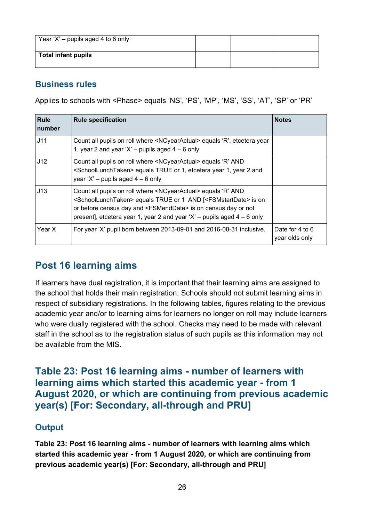| Year 'X' – pupils aged 4 to 6 only |  |  |
|------------------------------------|--|--|
| <b>Total infant pupils</b>         |  |  |

Applies to schools with <Phase> equals 'NS', 'PS', 'MP', 'MS', 'SS', 'AT', 'SP' or 'PR'

| <b>Rule</b><br>number | <b>Rule specification</b>                                                                                                                                                                                                                                                                                                                               | <b>Notes</b>                      |
|-----------------------|---------------------------------------------------------------------------------------------------------------------------------------------------------------------------------------------------------------------------------------------------------------------------------------------------------------------------------------------------------|-----------------------------------|
| J11                   | Count all pupils on roll where <ncyearactual> equals 'R', etcetera year<br/>1, year 2 and year 'X' – pupils aged <math>4 - 6</math> only</ncyearactual>                                                                                                                                                                                                 |                                   |
| J12                   | Count all pupils on roll where <ncyearactual> equals 'R' AND<br/><schoollunchtaken> equals TRUE or 1, etcetera year 1, year 2 and<br/>year 'X' – pupils aged <math>4-6</math> only</schoollunchtaken></ncyearactual>                                                                                                                                    |                                   |
| J13                   | Count all pupils on roll where <ncyearactual> equals 'R' AND<br/><schoollunchtaken> equals TRUE or 1 AND [<fsmstartdate> is on<br/>or before census day and <fsmenddate> is on census day or not<br/>present], etcetera year 1, year 2 and year 'X' – pupils aged <math>4 - 6</math> only</fsmenddate></fsmstartdate></schoollunchtaken></ncyearactual> |                                   |
| Year X                | For year 'X' pupil born between 2013-09-01 and 2016-08-31 inclusive.                                                                                                                                                                                                                                                                                    | Date for 4 to 6<br>year olds only |

# <span id="page-25-0"></span>**Post 16 learning aims**

If learners have dual registration, it is important that their learning aims are assigned to the school that holds their main registration. Schools should not submit learning aims in respect of subsidiary registrations. In the following tables, figures relating to the previous academic year and/or to learning aims for learners no longer on roll may include learners who were dually registered with the school. Checks may need to be made with relevant staff in the school as to the registration status of such pupils as this information may not be available from the MIS.

#### <span id="page-25-1"></span>**Table 23: Post 16 learning aims - number of learners with learning aims which started this academic year - from 1 August 2020, or which are continuing from previous academic year(s) [For: Secondary, all-through and PRU]**

#### **Output**

**Table 23: Post 16 learning aims - number of learners with learning aims which started this academic year - from 1 August 2020, or which are continuing from previous academic year(s) [For: Secondary, all-through and PRU]**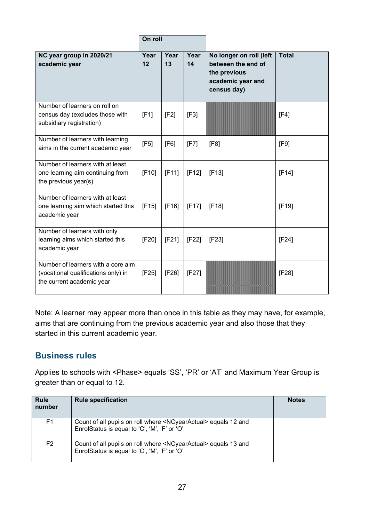|                                                                                                        | On roll    |            |            |                                                                                                   |              |
|--------------------------------------------------------------------------------------------------------|------------|------------|------------|---------------------------------------------------------------------------------------------------|--------------|
| NC year group in 2020/21<br>academic year                                                              | Year<br>12 | Year<br>13 | Year<br>14 | No longer on roll (left<br>between the end of<br>the previous<br>academic year and<br>census day) | <b>Total</b> |
| Number of learners on roll on<br>census day (excludes those with<br>subsidiary registration)           | [F1]       | [F2]       | [F3]       |                                                                                                   | [F4]         |
| Number of learners with learning<br>aims in the current academic year                                  | [F5]       | [F6]       | [F7]       | [F8]                                                                                              | [F9]         |
| Number of learners with at least<br>one learning aim continuing from<br>the previous year(s)           | [F10]      | [F11]      | [F12]      | [F13]                                                                                             | [F14]        |
| Number of learners with at least<br>one learning aim which started this<br>academic year               | [F15]      | [F16]      | [F17]      | [F18]                                                                                             | [F19]        |
| Number of learners with only<br>learning aims which started this<br>academic year                      | [F20]      | [F21]      | [F22]      | [F23]                                                                                             | [F24]        |
| Number of learners with a core aim<br>(vocational qualifications only) in<br>the current academic year | [F25]      | [F26]      | [F27]      |                                                                                                   | [F28]        |

Note: A learner may appear more than once in this table as they may have, for example, aims that are continuing from the previous academic year and also those that they started in this current academic year.

#### **Business rules**

Applies to schools with <Phase> equals 'SS', 'PR' or 'AT' and Maximum Year Group is greater than or equal to 12.

| <b>Rule</b><br>number | <b>Rule specification</b>                                                                                                      | <b>Notes</b> |
|-----------------------|--------------------------------------------------------------------------------------------------------------------------------|--------------|
| F1                    | Count of all pupils on roll where <ncyearactual> equals 12 and<br/>EnrolStatus is equal to 'C', 'M', 'F' or 'O'</ncyearactual> |              |
| F2                    | Count of all pupils on roll where <ncyearactual> equals 13 and<br/>EnrolStatus is equal to 'C', 'M', 'F' or 'O'</ncyearactual> |              |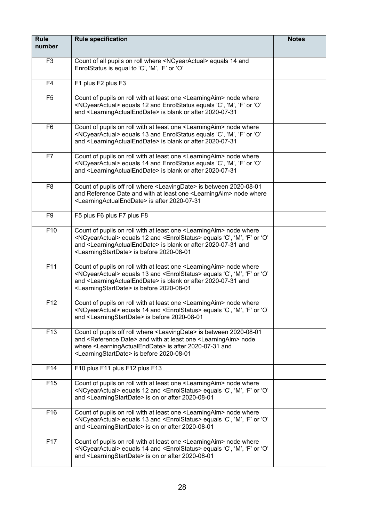| <b>Rule</b><br>number | <b>Rule specification</b>                                                                                                                                                                                                                                                                                                                          | <b>Notes</b> |
|-----------------------|----------------------------------------------------------------------------------------------------------------------------------------------------------------------------------------------------------------------------------------------------------------------------------------------------------------------------------------------------|--------------|
| F <sub>3</sub>        | Count of all pupils on roll where <ncyearactual> equals 14 and<br/>EnrolStatus is equal to 'C', 'M', 'F' or 'O'</ncyearactual>                                                                                                                                                                                                                     |              |
| F4                    | F1 plus F2 plus F3                                                                                                                                                                                                                                                                                                                                 |              |
| F <sub>5</sub>        | Count of pupils on roll with at least one <learningaim> node where<br/><ncyearactual> equals 12 and EnrolStatus equals 'C', 'M', 'F' or 'O'<br/>and <learningactualenddate> is blank or after 2020-07-31</learningactualenddate></ncyearactual></learningaim>                                                                                      |              |
| F <sub>6</sub>        | Count of pupils on roll with at least one <learningaim> node where<br/><ncyearactual> equals 13 and EnrolStatus equals 'C', 'M', 'F' or 'O'<br/>and <learningactualenddate> is blank or after 2020-07-31</learningactualenddate></ncyearactual></learningaim>                                                                                      |              |
| F7                    | Count of pupils on roll with at least one <learningaim> node where<br/><ncyearactual> equals 14 and EnrolStatus equals 'C', 'M', 'F' or 'O'<br/>and <learningactualenddate> is blank or after 2020-07-31</learningactualenddate></ncyearactual></learningaim>                                                                                      |              |
| F <sub>8</sub>        | Count of pupils off roll where <leavingdate> is between 2020-08-01<br/>and Reference Date and with at least one <learningaim> node where<br/><learningactualenddate> is after 2020-07-31</learningactualenddate></learningaim></leavingdate>                                                                                                       |              |
| F <sub>9</sub>        | F5 plus F6 plus F7 plus F8                                                                                                                                                                                                                                                                                                                         |              |
| F10                   | Count of pupils on roll with at least one <learningaim> node where<br/><ncyearactual> equals 12 and <enrolstatus> equals 'C', 'M', 'F' or 'O'<br/>and <learningactualenddate> is blank or after 2020-07-31 and<br/><learningstartdate> is before 2020-08-01</learningstartdate></learningactualenddate></enrolstatus></ncyearactual></learningaim> |              |
| F11                   | Count of pupils on roll with at least one <learningaim> node where<br/><ncyearactual> equals 13 and <enrolstatus> equals 'C', 'M', 'F' or 'O'<br/>and <learningactualenddate> is blank or after 2020-07-31 and<br/><learningstartdate> is before 2020-08-01</learningstartdate></learningactualenddate></enrolstatus></ncyearactual></learningaim> |              |
| F <sub>12</sub>       | Count of pupils on roll with at least one <learningaim> node where<br/><ncyearactual> equals 14 and <enrolstatus> equals 'C', 'M', 'F' or 'O'<br/>and <learningstartdate> is before 2020-08-01</learningstartdate></enrolstatus></ncyearactual></learningaim>                                                                                      |              |
| F13                   | Count of pupils off roll where <leavingdate> is between 2020-08-01<br/>and <reference date=""> and with at least one <learningaim> node<br/>where <learningactualenddate> is after 2020-07-31 and<br/><learningstartdate> is before 2020-08-01</learningstartdate></learningactualenddate></learningaim></reference></leavingdate>                 |              |
| F14                   | F10 plus F11 plus F12 plus F13                                                                                                                                                                                                                                                                                                                     |              |
| F <sub>15</sub>       | Count of pupils on roll with at least one <learningaim> node where<br/><ncyearactual> equals 12 and <enrolstatus> equals 'C', 'M', 'F' or 'O'<br/>and <learningstartdate> is on or after 2020-08-01</learningstartdate></enrolstatus></ncyearactual></learningaim>                                                                                 |              |
| F16                   | Count of pupils on roll with at least one <learningaim> node where<br/><ncyearactual> equals 13 and <enrolstatus> equals 'C', 'M', 'F' or 'O'<br/>and <learningstartdate> is on or after 2020-08-01</learningstartdate></enrolstatus></ncyearactual></learningaim>                                                                                 |              |
| F17                   | Count of pupils on roll with at least one <learningaim> node where<br/><ncyearactual> equals 14 and <enrolstatus> equals 'C', 'M', 'F' or 'O'<br/>and <learningstartdate> is on or after 2020-08-01</learningstartdate></enrolstatus></ncyearactual></learningaim>                                                                                 |              |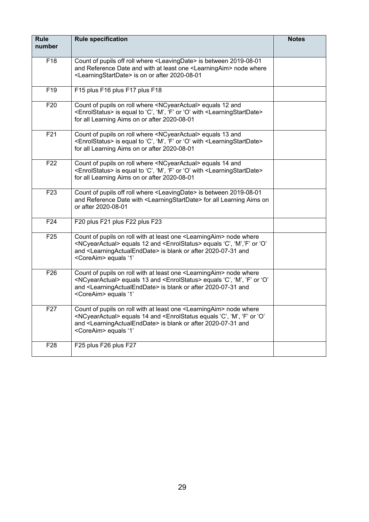| <b>Rule</b><br>number | <b>Rule specification</b>                                                                                                                                                                                                                                                                                                            | <b>Notes</b> |
|-----------------------|--------------------------------------------------------------------------------------------------------------------------------------------------------------------------------------------------------------------------------------------------------------------------------------------------------------------------------------|--------------|
| F18                   | Count of pupils off roll where <leavingdate> is between 2019-08-01<br/>and Reference Date and with at least one <learningaim> node where<br/><learningstartdate> is on or after 2020-08-01</learningstartdate></learningaim></leavingdate>                                                                                           |              |
| F <sub>19</sub>       | F15 plus F16 plus F17 plus F18                                                                                                                                                                                                                                                                                                       |              |
| F <sub>20</sub>       | Count of pupils on roll where <ncyearactual> equals 12 and<br/><enrolstatus> is equal to 'C', 'M', 'F' or 'O' with <learningstartdate><br/>for all Learning Aims on or after 2020-08-01</learningstartdate></enrolstatus></ncyearactual>                                                                                             |              |
| F <sub>21</sub>       | Count of pupils on roll where <ncyearactual> equals 13 and<br/><enrolstatus> is equal to 'C', 'M', 'F' or 'O' with <learningstartdate><br/>for all Learning Aims on or after 2020-08-01</learningstartdate></enrolstatus></ncyearactual>                                                                                             |              |
| F <sub>22</sub>       | Count of pupils on roll where <ncyearactual> equals 14 and<br/><enrolstatus> is equal to 'C', 'M', 'F' or 'O' with <learningstartdate><br/>for all Learning Aims on or after 2020-08-01</learningstartdate></enrolstatus></ncyearactual>                                                                                             |              |
| F <sub>23</sub>       | Count of pupils off roll where <leavingdate> is between 2019-08-01<br/>and Reference Date with <learningstartdate> for all Learning Aims on<br/>or after 2020-08-01</learningstartdate></leavingdate>                                                                                                                                |              |
| F24                   | F20 plus F21 plus F22 plus F23                                                                                                                                                                                                                                                                                                       |              |
| F25                   | Count of pupils on roll with at least one <learningaim> node where<br/><ncyearactual> equals 12 and <enrolstatus> equals 'C', 'M','F' or 'O'<br/>and <learningactualenddate> is blank or after 2020-07-31 and<br/><coreaim> equals '1'</coreaim></learningactualenddate></enrolstatus></ncyearactual></learningaim>                  |              |
| F26                   | Count of pupils on roll with at least one <learningaim> node where<br/><ncyearactual> equals 13 and <enrolstatus> equals 'C', 'M', 'F' or 'O'<br/>and <learningactualenddate> is blank or after 2020-07-31 and<br/><coreaim> equals '1'</coreaim></learningactualenddate></enrolstatus></ncyearactual></learningaim>                 |              |
| F27                   | Count of pupils on roll with at least one <learningaim> node where<br/><ncyearactual> equals 14 and <enrolstatus 'c',="" 'f'="" 'm',="" 'o'<br="" equals="" or="">and <learningactualenddate> is blank or after 2020-07-31 and<br/><coreaim> equals '1'</coreaim></learningactualenddate></enrolstatus></ncyearactual></learningaim> |              |
| F <sub>28</sub>       | F25 plus F26 plus F27                                                                                                                                                                                                                                                                                                                |              |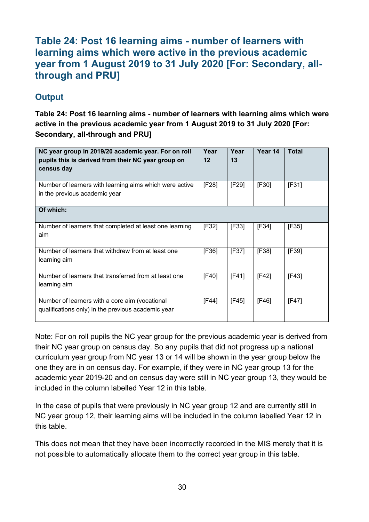#### <span id="page-29-0"></span>**Table 24: Post 16 learning aims - number of learners with learning aims which were active in the previous academic year from 1 August 2019 to 31 July 2020 [For: Secondary, allthrough and PRU]**

#### **Output**

**Table 24: Post 16 learning aims - number of learners with learning aims which were active in the previous academic year from 1 August 2019 to 31 July 2020 [For: Secondary, all-through and PRU]**

| NC year group in 2019/20 academic year. For on roll<br>pupils this is derived from their NC year group on<br>census day | Year<br>12 | Year<br>13 | Year 14 | <b>Total</b> |
|-------------------------------------------------------------------------------------------------------------------------|------------|------------|---------|--------------|
| Number of learners with learning aims which were active<br>in the previous academic year                                | [F28]      | [F29]      | [F30]   | [F31]        |
| Of which:                                                                                                               |            |            |         |              |
| Number of learners that completed at least one learning<br>aim                                                          | [F32]      | [F33]      | [F34]   | [F35]        |
| Number of learners that withdrew from at least one<br>learning aim                                                      | [F36]      | [F37]      | [F38]   | [F39]        |
| Number of learners that transferred from at least one<br>learning aim                                                   | [F40]      | [F41]      | [F42]   | [F43]        |
| Number of learners with a core aim (vocational<br>qualifications only) in the previous academic year                    | [F44]      | [F45]      | [F46]   | [F47]        |

Note: For on roll pupils the NC year group for the previous academic year is derived from their NC year group on census day. So any pupils that did not progress up a national curriculum year group from NC year 13 or 14 will be shown in the year group below the one they are in on census day. For example, if they were in NC year group 13 for the academic year 2019-20 and on census day were still in NC year group 13, they would be included in the column labelled Year 12 in this table.

In the case of pupils that were previously in NC year group 12 and are currently still in NC year group 12, their learning aims will be included in the column labelled Year 12 in this table.

This does not mean that they have been incorrectly recorded in the MIS merely that it is not possible to automatically allocate them to the correct year group in this table.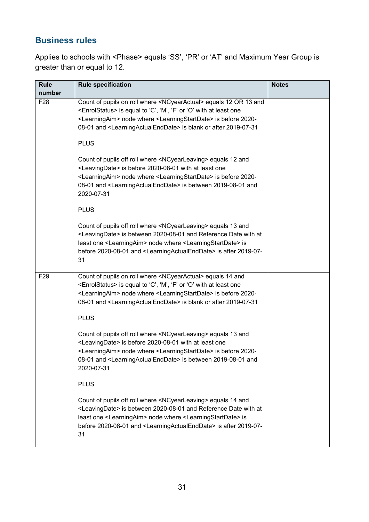Applies to schools with <Phase> equals 'SS', 'PR' or 'AT' and Maximum Year Group is greater than or equal to 12.

| <b>Rule</b>     | <b>Rule specification</b>                                                                                                                                                                                                                                                                                                                                        | <b>Notes</b> |
|-----------------|------------------------------------------------------------------------------------------------------------------------------------------------------------------------------------------------------------------------------------------------------------------------------------------------------------------------------------------------------------------|--------------|
| number          |                                                                                                                                                                                                                                                                                                                                                                  |              |
| F <sub>28</sub> | Count of pupils on roll where <ncyearactual> equals 12 OR 13 and<br/><enrolstatus> is equal to 'C', 'M', 'F' or 'O' with at least one<br/><learningaim> node where <learningstartdate> is before 2020-<br/>08-01 and <learningactualenddate> is blank or after 2019-07-31</learningactualenddate></learningstartdate></learningaim></enrolstatus></ncyearactual> |              |
|                 | <b>PLUS</b>                                                                                                                                                                                                                                                                                                                                                      |              |
|                 | Count of pupils off roll where <ncyearleaving> equals 12 and<br/><leavingdate> is before 2020-08-01 with at least one<br/><learningaim> node where <learningstartdate> is before 2020-<br/>08-01 and <learningactualenddate> is between 2019-08-01 and<br/>2020-07-31</learningactualenddate></learningstartdate></learningaim></leavingdate></ncyearleaving>    |              |
|                 | <b>PLUS</b>                                                                                                                                                                                                                                                                                                                                                      |              |
|                 | Count of pupils off roll where <ncyearleaving> equals 13 and<br/><leavingdate> is between 2020-08-01 and Reference Date with at<br/>least one <learningaim> node where <learningstartdate> is<br/>before 2020-08-01 and <learningactualenddate> is after 2019-07-<br/>31</learningactualenddate></learningstartdate></learningaim></leavingdate></ncyearleaving> |              |
| F <sub>29</sub> | Count of pupils on roll where <ncyearactual> equals 14 and<br/><enrolstatus> is equal to 'C', 'M', 'F' or 'O' with at least one<br/><learningaim> node where <learningstartdate> is before 2020-<br/>08-01 and <learningactualenddate> is blank or after 2019-07-31</learningactualenddate></learningstartdate></learningaim></enrolstatus></ncyearactual>       |              |
|                 | <b>PLUS</b>                                                                                                                                                                                                                                                                                                                                                      |              |
|                 | Count of pupils off roll where <ncyearleaving> equals 13 and<br/><leavingdate> is before 2020-08-01 with at least one<br/><learningaim> node where <learningstartdate> is before 2020-<br/>08-01 and <learningactualenddate> is between 2019-08-01 and<br/>2020-07-31</learningactualenddate></learningstartdate></learningaim></leavingdate></ncyearleaving>    |              |
|                 | <b>PLUS</b>                                                                                                                                                                                                                                                                                                                                                      |              |
|                 | Count of pupils off roll where <ncyearleaving> equals 14 and<br/><leavingdate> is between 2020-08-01 and Reference Date with at<br/>least one <learningaim> node where <learningstartdate> is<br/>before 2020-08-01 and <learningactualenddate> is after 2019-07-<br/>31</learningactualenddate></learningstartdate></learningaim></leavingdate></ncyearleaving> |              |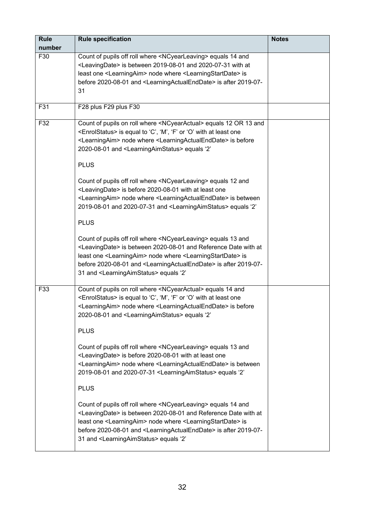| <b>Rule</b><br>number | <b>Rule specification</b>                                                                                                                                                                                                                                                                                                                                                                                               | <b>Notes</b> |
|-----------------------|-------------------------------------------------------------------------------------------------------------------------------------------------------------------------------------------------------------------------------------------------------------------------------------------------------------------------------------------------------------------------------------------------------------------------|--------------|
| F30                   | Count of pupils off roll where <ncyearleaving> equals 14 and<br/><leavingdate> is between 2019-08-01 and 2020-07-31 with at<br/>least one <learningaim> node where <learningstartdate> is<br/>before 2020-08-01 and <learningactualenddate> is after 2019-07-<br/>31</learningactualenddate></learningstartdate></learningaim></leavingdate></ncyearleaving>                                                            |              |
| F31                   | F28 plus F29 plus F30                                                                                                                                                                                                                                                                                                                                                                                                   |              |
| F32                   | Count of pupils on roll where <ncyearactual> equals 12 OR 13 and<br/><enrolstatus> is equal to 'C', 'M', 'F' or 'O' with at least one<br/><learningaim> node where <learningactualenddate> is before<br/>2020-08-01 and <learningaimstatus> equals '2'</learningaimstatus></learningactualenddate></learningaim></enrolstatus></ncyearactual>                                                                           |              |
|                       | <b>PLUS</b>                                                                                                                                                                                                                                                                                                                                                                                                             |              |
|                       | Count of pupils off roll where <ncyearleaving> equals 12 and<br/><leavingdate> is before 2020-08-01 with at least one<br/><learningaim> node where <learningactualenddate> is between<br/>2019-08-01 and 2020-07-31 and <learningaimstatus> equals '2'</learningaimstatus></learningactualenddate></learningaim></leavingdate></ncyearleaving>                                                                          |              |
|                       | <b>PLUS</b>                                                                                                                                                                                                                                                                                                                                                                                                             |              |
|                       | Count of pupils off roll where <ncyearleaving> equals 13 and<br/><leavingdate> is between 2020-08-01 and Reference Date with at<br/>least one <learningaim> node where <learningstartdate> is<br/>before 2020-08-01 and <learningactualenddate> is after 2019-07-<br/>31 and <learningaimstatus> equals '2'</learningaimstatus></learningactualenddate></learningstartdate></learningaim></leavingdate></ncyearleaving> |              |
| F33                   | Count of pupils on roll where <ncyearactual> equals 14 and<br/><enrolstatus> is equal to 'C', 'M', 'F' or 'O' with at least one<br/><learningaim> node where <learningactualenddate> is before<br/>2020-08-01 and <learningaimstatus> equals '2'</learningaimstatus></learningactualenddate></learningaim></enrolstatus></ncyearactual>                                                                                 |              |
|                       | <b>PLUS</b>                                                                                                                                                                                                                                                                                                                                                                                                             |              |
|                       | Count of pupils off roll where <ncyearleaving> equals 13 and<br/><leavingdate> is before 2020-08-01 with at least one<br/><learningaim> node where <learningactualenddate> is between<br/>2019-08-01 and 2020-07-31 <learningaimstatus> equals '2'</learningaimstatus></learningactualenddate></learningaim></leavingdate></ncyearleaving>                                                                              |              |
|                       | <b>PLUS</b>                                                                                                                                                                                                                                                                                                                                                                                                             |              |
|                       | Count of pupils off roll where <ncyearleaving> equals 14 and<br/><leavingdate> is between 2020-08-01 and Reference Date with at<br/>least one <learningaim> node where <learningstartdate> is<br/>before 2020-08-01 and <learningactualenddate> is after 2019-07-<br/>31 and <learningaimstatus> equals '2'</learningaimstatus></learningactualenddate></learningstartdate></learningaim></leavingdate></ncyearleaving> |              |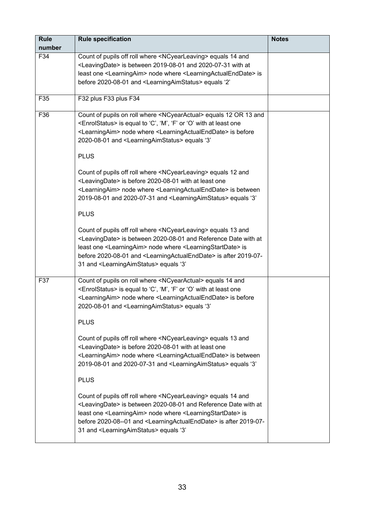| <b>Rule</b> | <b>Rule specification</b>                                                                                                                           | <b>Notes</b> |
|-------------|-----------------------------------------------------------------------------------------------------------------------------------------------------|--------------|
| number      |                                                                                                                                                     |              |
| F34         | Count of pupils off roll where <ncyearleaving> equals 14 and</ncyearleaving>                                                                        |              |
|             | <leavingdate> is between 2019-08-01 and 2020-07-31 with at</leavingdate>                                                                            |              |
|             | least one <learningaim> node where <learningactualenddate> is</learningactualenddate></learningaim>                                                 |              |
|             | before 2020-08-01 and <learningaimstatus> equals '2'</learningaimstatus>                                                                            |              |
| F35         | F32 plus F33 plus F34                                                                                                                               |              |
|             |                                                                                                                                                     |              |
| F36         | Count of pupils on roll where <ncyearactual> equals 12 OR 13 and</ncyearactual>                                                                     |              |
|             | <enrolstatus> is equal to 'C', 'M', 'F' or 'O' with at least one</enrolstatus>                                                                      |              |
|             | <learningaim> node where <learningactualenddate> is before</learningactualenddate></learningaim>                                                    |              |
|             | 2020-08-01 and <learningaimstatus> equals '3'</learningaimstatus>                                                                                   |              |
|             | <b>PLUS</b>                                                                                                                                         |              |
|             | Count of pupils off roll where <ncyearleaving> equals 12 and</ncyearleaving>                                                                        |              |
|             | <leavingdate> is before 2020-08-01 with at least one</leavingdate>                                                                                  |              |
|             | <learningaim> node where <learningactualenddate> is between</learningactualenddate></learningaim>                                                   |              |
|             | 2019-08-01 and 2020-07-31 and <learningaimstatus> equals '3'</learningaimstatus>                                                                    |              |
|             |                                                                                                                                                     |              |
|             | <b>PLUS</b>                                                                                                                                         |              |
|             | Count of pupils off roll where <ncyearleaving> equals 13 and</ncyearleaving>                                                                        |              |
|             | <leavingdate> is between 2020-08-01 and Reference Date with at</leavingdate>                                                                        |              |
|             | least one <learningaim> node where <learningstartdate> is</learningstartdate></learningaim>                                                         |              |
|             | before 2020-08-01 and <learningactualenddate> is after 2019-07-</learningactualenddate>                                                             |              |
|             | 31 and <learningaimstatus> equals '3'</learningaimstatus>                                                                                           |              |
| F37         | Count of pupils on roll where <ncyearactual> equals 14 and</ncyearactual>                                                                           |              |
|             | <enrolstatus> is equal to 'C', 'M', 'F' or 'O' with at least one</enrolstatus>                                                                      |              |
|             | <learningaim> node where <learningactualenddate> is before</learningactualenddate></learningaim>                                                    |              |
|             | 2020-08-01 and <learningaimstatus> equals '3'</learningaimstatus>                                                                                   |              |
|             | <b>PLUS</b>                                                                                                                                         |              |
|             |                                                                                                                                                     |              |
|             | Count of pupils off roll where <ncyearleaving> equals 13 and<br/><leavingdate> is before 2020-08-01 with at least one</leavingdate></ncyearleaving> |              |
|             | <learningaim> node where <learningactualenddate> is between</learningactualenddate></learningaim>                                                   |              |
|             | 2019-08-01 and 2020-07-31 and <learningaimstatus> equals '3'</learningaimstatus>                                                                    |              |
|             |                                                                                                                                                     |              |
|             | <b>PLUS</b>                                                                                                                                         |              |
|             | Count of pupils off roll where <ncyearleaving> equals 14 and</ncyearleaving>                                                                        |              |
|             | <leavingdate> is between 2020-08-01 and Reference Date with at</leavingdate>                                                                        |              |
|             | least one <learningaim> node where <learningstartdate> is</learningstartdate></learningaim>                                                         |              |
|             | before 2020-08--01 and <learningactualenddate> is after 2019-07-</learningactualenddate>                                                            |              |
|             | 31 and <learningaimstatus> equals '3'</learningaimstatus>                                                                                           |              |
|             |                                                                                                                                                     |              |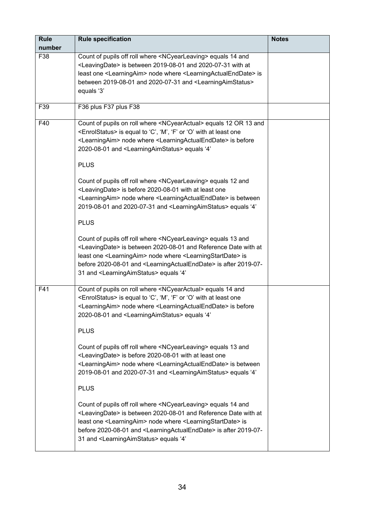| <b>Rule</b> | <b>Rule specification</b>                                                                                                                                                                                                                                                                                                                                                                                               | <b>Notes</b> |
|-------------|-------------------------------------------------------------------------------------------------------------------------------------------------------------------------------------------------------------------------------------------------------------------------------------------------------------------------------------------------------------------------------------------------------------------------|--------------|
| number      |                                                                                                                                                                                                                                                                                                                                                                                                                         |              |
| F38         | Count of pupils off roll where <ncyearleaving> equals 14 and<br/><leavingdate> is between 2019-08-01 and 2020-07-31 with at<br/>least one <learningaim> node where <learningactualenddate> is<br/>between 2019-08-01 and 2020-07-31 and <learningaimstatus><br/>equals '3'</learningaimstatus></learningactualenddate></learningaim></leavingdate></ncyearleaving>                                                      |              |
| F39         | F36 plus F37 plus F38                                                                                                                                                                                                                                                                                                                                                                                                   |              |
| F40         | Count of pupils on roll where <ncyearactual> equals 12 OR 13 and<br/><enrolstatus> is equal to 'C', 'M', 'F' or 'O' with at least one<br/><learningaim> node where <learningactualenddate> is before<br/>2020-08-01 and <learningaimstatus> equals '4'</learningaimstatus></learningactualenddate></learningaim></enrolstatus></ncyearactual>                                                                           |              |
|             | <b>PLUS</b>                                                                                                                                                                                                                                                                                                                                                                                                             |              |
|             | Count of pupils off roll where <ncyearleaving> equals 12 and<br/><leavingdate> is before 2020-08-01 with at least one<br/><learningaim> node where <learningactualenddate> is between<br/>2019-08-01 and 2020-07-31 and <learningaimstatus> equals '4'</learningaimstatus></learningactualenddate></learningaim></leavingdate></ncyearleaving>                                                                          |              |
|             | <b>PLUS</b>                                                                                                                                                                                                                                                                                                                                                                                                             |              |
|             | Count of pupils off roll where <ncyearleaving> equals 13 and<br/><leavingdate> is between 2020-08-01 and Reference Date with at<br/>least one <learningaim> node where <learningstartdate> is<br/>before 2020-08-01 and <learningactualenddate> is after 2019-07-<br/>31 and <learningaimstatus> equals '4'</learningaimstatus></learningactualenddate></learningstartdate></learningaim></leavingdate></ncyearleaving> |              |
| F41         | Count of pupils on roll where <ncyearactual> equals 14 and<br/><enrolstatus> is equal to 'C', 'M', 'F' or 'O' with at least one<br/><learningaim> node where <learningactualenddate> is before<br/>2020-08-01 and <learningaimstatus> equals '4'</learningaimstatus></learningactualenddate></learningaim></enrolstatus></ncyearactual>                                                                                 |              |
|             | <b>PLUS</b>                                                                                                                                                                                                                                                                                                                                                                                                             |              |
|             | Count of pupils off roll where <ncyearleaving> equals 13 and<br/><leavingdate> is before 2020-08-01 with at least one<br/><learningaim> node where <learningactualenddate> is between<br/>2019-08-01 and 2020-07-31 and <learningaimstatus> equals '4'</learningaimstatus></learningactualenddate></learningaim></leavingdate></ncyearleaving>                                                                          |              |
|             | <b>PLUS</b>                                                                                                                                                                                                                                                                                                                                                                                                             |              |
|             | Count of pupils off roll where <ncyearleaving> equals 14 and<br/><leavingdate> is between 2020-08-01 and Reference Date with at<br/>least one <learningaim> node where <learningstartdate> is<br/>before 2020-08-01 and <learningactualenddate> is after 2019-07-<br/>31 and <learningaimstatus> equals '4'</learningaimstatus></learningactualenddate></learningstartdate></learningaim></leavingdate></ncyearleaving> |              |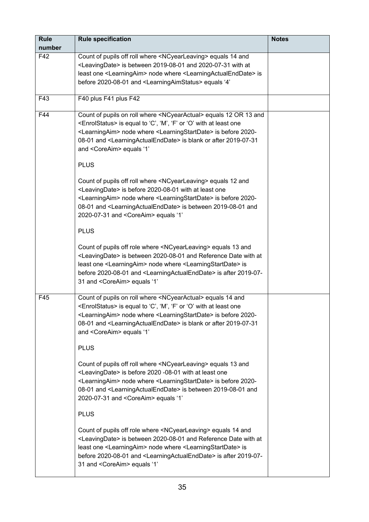| <b>Rule</b> | <b>Rule specification</b>                                                                                                                                                                                                                                                                                                                                                                                         | <b>Notes</b> |
|-------------|-------------------------------------------------------------------------------------------------------------------------------------------------------------------------------------------------------------------------------------------------------------------------------------------------------------------------------------------------------------------------------------------------------------------|--------------|
| number      |                                                                                                                                                                                                                                                                                                                                                                                                                   |              |
| F42         | Count of pupils off roll where <ncyearleaving> equals 14 and<br/><leavingdate> is between 2019-08-01 and 2020-07-31 with at<br/>least one <learningaim> node where <learningactualenddate> is<br/>before 2020-08-01 and <learningaimstatus> equals '4'</learningaimstatus></learningactualenddate></learningaim></leavingdate></ncyearleaving>                                                                    |              |
| F43         | F40 plus F41 plus F42                                                                                                                                                                                                                                                                                                                                                                                             |              |
| F44         | Count of pupils on roll where <ncyearactual> equals 12 OR 13 and<br/><enrolstatus> is equal to 'C', 'M', 'F' or 'O' with at least one<br/><learningaim> node where <learningstartdate> is before 2020-<br/>08-01 and <learningactualenddate> is blank or after 2019-07-31<br/>and <coreaim> equals '1'</coreaim></learningactualenddate></learningstartdate></learningaim></enrolstatus></ncyearactual>           |              |
|             | <b>PLUS</b>                                                                                                                                                                                                                                                                                                                                                                                                       |              |
|             | Count of pupils off roll where <ncyearleaving> equals 12 and<br/><leavingdate> is before 2020-08-01 with at least one<br/><learningaim> node where <learningstartdate> is before 2020-<br/>08-01 and <learningactualenddate> is between 2019-08-01 and<br/>2020-07-31 and <coreaim> equals '1'</coreaim></learningactualenddate></learningstartdate></learningaim></leavingdate></ncyearleaving>                  |              |
|             | <b>PLUS</b>                                                                                                                                                                                                                                                                                                                                                                                                       |              |
|             | Count of pupils off role where <ncyearleaving> equals 13 and<br/><leavingdate> is between 2020-08-01 and Reference Date with at<br/>least one <learningaim> node where <learningstartdate> is<br/>before 2020-08-01 and <learningactualenddate> is after 2019-07-<br/>31 and <coreaim> equals '1'</coreaim></learningactualenddate></learningstartdate></learningaim></leavingdate></ncyearleaving>               |              |
| F45         | Count of pupils on roll where <ncyearactual> equals 14 and<br/><enrolstatus> is equal to 'C', 'M', 'F' or 'O' with at least one<br/><learningaim> node where <learningstartdate> is before 2020-<br/>08-01 and <learningactualenddate> is blank or after 2019-07-31<br/>and <coreaim> equals '1'<br/><b>PLUS</b></coreaim></learningactualenddate></learningstartdate></learningaim></enrolstatus></ncyearactual> |              |
|             | Count of pupils off roll where <ncyearleaving> equals 13 and<br/><leavingdate> is before 2020 -08-01 with at least one<br/><learningaim> node where <learningstartdate> is before 2020-<br/>08-01 and <learningactualenddate> is between 2019-08-01 and<br/>2020-07-31 and <coreaim> equals '1'</coreaim></learningactualenddate></learningstartdate></learningaim></leavingdate></ncyearleaving>                 |              |
|             | <b>PLUS</b>                                                                                                                                                                                                                                                                                                                                                                                                       |              |
|             | Count of pupils off role where <ncyearleaving> equals 14 and<br/><leavingdate> is between 2020-08-01 and Reference Date with at<br/>least one <learningaim> node where <learningstartdate> is<br/>before 2020-08-01 and <learningactualenddate> is after 2019-07-<br/>31 and <coreaim> equals '1'</coreaim></learningactualenddate></learningstartdate></learningaim></leavingdate></ncyearleaving>               |              |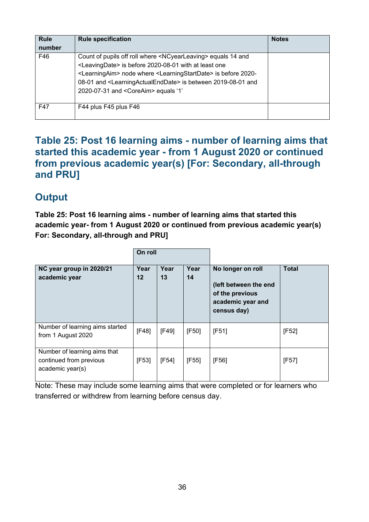| <b>Rule</b><br>number | <b>Rule specification</b>                                                                                                                                                                                                                                                                                                                                                                        | <b>Notes</b> |
|-----------------------|--------------------------------------------------------------------------------------------------------------------------------------------------------------------------------------------------------------------------------------------------------------------------------------------------------------------------------------------------------------------------------------------------|--------------|
| F46                   | Count of pupils off roll where <ncyearleaving> equals 14 and<br/><leavingdate> is before 2020-08-01 with at least one<br/><learningaim> node where <learningstartdate> is before 2020-<br/>08-01 and <learningactualenddate> is between 2019-08-01 and<br/>2020-07-31 and <coreaim> equals '1'</coreaim></learningactualenddate></learningstartdate></learningaim></leavingdate></ncyearleaving> |              |
| F47                   | F44 plus F45 plus F46                                                                                                                                                                                                                                                                                                                                                                            |              |

#### <span id="page-35-0"></span>**Table 25: Post 16 learning aims - number of learning aims that started this academic year - from 1 August 2020 or continued from previous academic year(s) [For: Secondary, all-through and PRU]**

# **Output**

**Table 25: Post 16 learning aims - number of learning aims that started this academic year- from 1 August 2020 or continued from previous academic year(s) For: Secondary, all-through and PRU]** 

|                                                                             | On roll    |            |            |                                                                                                   |              |
|-----------------------------------------------------------------------------|------------|------------|------------|---------------------------------------------------------------------------------------------------|--------------|
| NC year group in 2020/21<br>academic year                                   | Year<br>12 | Year<br>13 | Year<br>14 | No longer on roll<br>(left between the end<br>of the previous<br>academic year and<br>census day) | <b>Total</b> |
| Number of learning aims started<br>from 1 August 2020                       | [F48]      | [F49]      | [F50]      | [F51]                                                                                             | [F52]        |
| Number of learning aims that<br>continued from previous<br>academic year(s) | [F53]      | [F54]      | [F55]      | [F56]                                                                                             | [F57]        |

Note: These may include some learning aims that were completed or for learners who transferred or withdrew from learning before census day.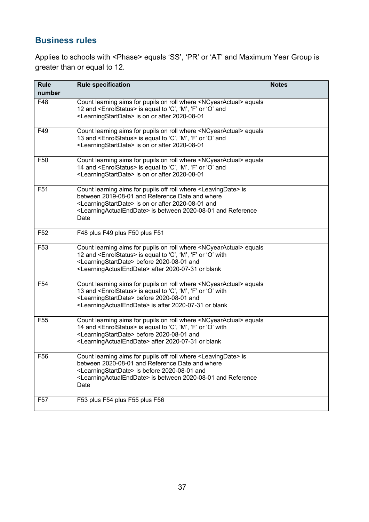Applies to schools with <Phase> equals 'SS', 'PR' or 'AT' and Maximum Year Group is greater than or equal to 12.

| <b>Rule</b>     | <b>Rule specification</b>                                                                                                                                                                                                                                                                                         | <b>Notes</b> |
|-----------------|-------------------------------------------------------------------------------------------------------------------------------------------------------------------------------------------------------------------------------------------------------------------------------------------------------------------|--------------|
| number          |                                                                                                                                                                                                                                                                                                                   |              |
| F48             | Count learning aims for pupils on roll where <ncyearactual> equals<br/>12 and <enrolstatus> is equal to 'C', 'M', 'F' or 'O' and<br/><learningstartdate> is on or after 2020-08-01</learningstartdate></enrolstatus></ncyearactual>                                                                               |              |
| F49             | Count learning aims for pupils on roll where <ncyearactual> equals<br/>13 and <enrolstatus> is equal to 'C', 'M', 'F' or 'O' and<br/><learningstartdate> is on or after 2020-08-01</learningstartdate></enrolstatus></ncyearactual>                                                                               |              |
| F <sub>50</sub> | Count learning aims for pupils on roll where <ncyearactual> equals<br/>14 and <enrolstatus> is equal to 'C', 'M', 'F' or 'O' and<br/><learningstartdate> is on or after 2020-08-01</learningstartdate></enrolstatus></ncyearactual>                                                                               |              |
| F <sub>51</sub> | Count learning aims for pupils off roll where <leavingdate> is<br/>between 2019-08-01 and Reference Date and where<br/><learningstartdate> is on or after 2020-08-01 and<br/><learningactualenddate> is between 2020-08-01 and Reference<br/>Date</learningactualenddate></learningstartdate></leavingdate>       |              |
| F <sub>52</sub> | F48 plus F49 plus F50 plus F51                                                                                                                                                                                                                                                                                    |              |
| F <sub>53</sub> | Count learning aims for pupils on roll where <ncyearactual> equals<br/>12 and <enrolstatus> is equal to 'C', 'M', 'F' or 'O' with<br/><learningstartdate> before 2020-08-01 and<br/><learningactualenddate> after 2020-07-31 or blank</learningactualenddate></learningstartdate></enrolstatus></ncyearactual>    |              |
| F <sub>54</sub> | Count learning aims for pupils on roll where <ncyearactual> equals<br/>13 and <enrolstatus> is equal to 'C', 'M', 'F' or 'O' with<br/><learningstartdate> before 2020-08-01 and<br/><learningactualenddate> is after 2020-07-31 or blank</learningactualenddate></learningstartdate></enrolstatus></ncyearactual> |              |
| F <sub>55</sub> | Count learning aims for pupils on roll where <ncyearactual> equals<br/>14 and <enrolstatus> is equal to 'C', 'M', 'F' or 'O' with<br/><learningstartdate> before 2020-08-01 and<br/><learningactualenddate> after 2020-07-31 or blank</learningactualenddate></learningstartdate></enrolstatus></ncyearactual>    |              |
| F56             | Count learning aims for pupils off roll where <leavingdate> is<br/>between 2020-08-01 and Reference Date and where<br/><learningstartdate> is before 2020-08-01 and<br/><learningactualenddate> is between 2020-08-01 and Reference<br/>Date</learningactualenddate></learningstartdate></leavingdate>            |              |
| F <sub>57</sub> | F53 plus F54 plus F55 plus F56                                                                                                                                                                                                                                                                                    |              |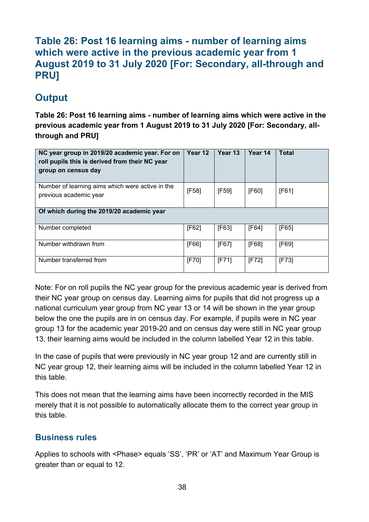#### <span id="page-37-0"></span>**Table 26: Post 16 learning aims - number of learning aims which were active in the previous academic year from 1 August 2019 to 31 July 2020 [For: Secondary, all-through and PRU]**

# **Output**

**Table 26: Post 16 learning aims - number of learning aims which were active in the previous academic year from 1 August 2019 to 31 July 2020 [For: Secondary, allthrough and PRU]**

| NC year group in 2019/20 academic year. For on<br>roll pupils this is derived from their NC year<br>group on census day | Year 12  | Year 13 | Year 14 | Total    |
|-------------------------------------------------------------------------------------------------------------------------|----------|---------|---------|----------|
| Number of learning aims which were active in the<br>previous academic year                                              | [F58]    | [F59]   | [F60]   | [FG1]    |
| Of which during the 2019/20 academic year                                                                               |          |         |         |          |
| Number completed                                                                                                        | [F62]    | [F63]   | [F64]   | [FG5]    |
| Number withdrawn from                                                                                                   | [F66]    | [FG7]   | [F68]   | [FG9]    |
| Number transferred from                                                                                                 | $[$ F70] | [F71]   | [F72]   | $[$ F73] |

Note: For on roll pupils the NC year group for the previous academic year is derived from their NC year group on census day. Learning aims for pupils that did not progress up a national curriculum year group from NC year 13 or 14 will be shown in the year group below the one the pupils are in on census day. For example, if pupils were in NC year group 13 for the academic year 2019-20 and on census day were still in NC year group 13, their learning aims would be included in the column labelled Year 12 in this table.

In the case of pupils that were previously in NC year group 12 and are currently still in NC year group 12, their learning aims will be included in the column labelled Year 12 in this table.

This does not mean that the learning aims have been incorrectly recorded in the MIS merely that it is not possible to automatically allocate them to the correct year group in this table.

#### **Business rules**

Applies to schools with <Phase> equals 'SS', 'PR' or 'AT' and Maximum Year Group is greater than or equal to 12.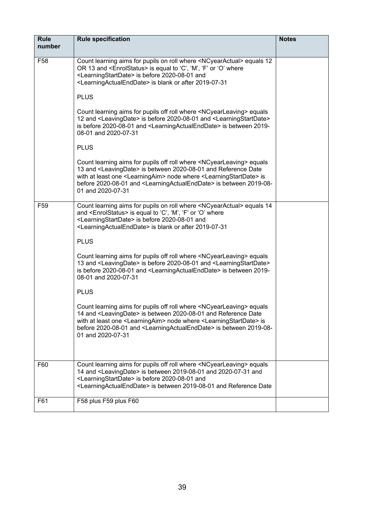| <b>Rule</b><br>number | <b>Rule specification</b>                                                                                                                                                                                                                                                                                                                                                                        | <b>Notes</b> |
|-----------------------|--------------------------------------------------------------------------------------------------------------------------------------------------------------------------------------------------------------------------------------------------------------------------------------------------------------------------------------------------------------------------------------------------|--------------|
| F <sub>58</sub>       | Count learning aims for pupils on roll where <ncyearactual> equals 12<br/>OR 13 and <enrolstatus> is equal to 'C', 'M', 'F' or 'O' where<br/><learningstartdate> is before 2020-08-01 and<br/><learningactualenddate> is blank or after 2019-07-31</learningactualenddate></learningstartdate></enrolstatus></ncyearactual>                                                                      |              |
|                       | <b>PLUS</b>                                                                                                                                                                                                                                                                                                                                                                                      |              |
|                       | Count learning aims for pupils off roll where <ncyearleaving> equals<br/>12 and <leavingdate> is before 2020-08-01 and <learningstartdate><br/>is before 2020-08-01 and <learningactualenddate> is between 2019-<br/>08-01 and 2020-07-31</learningactualenddate></learningstartdate></leavingdate></ncyearleaving>                                                                              |              |
|                       | <b>PLUS</b>                                                                                                                                                                                                                                                                                                                                                                                      |              |
|                       | Count learning aims for pupils off roll where <ncyearleaving> equals<br/>13 and <leavingdate> is between 2020-08-01 and Reference Date<br/>with at least one <learningaim> node where <learningstartdate> is<br/>before 2020-08-01 and <learningactualenddate> is between 2019-08-<br/>01 and 2020-07-31</learningactualenddate></learningstartdate></learningaim></leavingdate></ncyearleaving> |              |
| F <sub>59</sub>       | Count learning aims for pupils on roll where <ncyearactual> equals 14<br/>and <enrolstatus> is equal to 'C', 'M', 'F' or 'O' where<br/><learningstartdate> is before 2020-08-01 and<br/><learningactualenddate> is blank or after 2019-07-31</learningactualenddate></learningstartdate></enrolstatus></ncyearactual>                                                                            |              |
|                       | <b>PLUS</b>                                                                                                                                                                                                                                                                                                                                                                                      |              |
|                       | Count learning aims for pupils off roll where <ncyearleaving> equals<br/>13 and <leavingdate> is before 2020-08-01 and <learningstartdate><br/>is before 2020-08-01 and <learningactualenddate> is between 2019-<br/>08-01 and 2020-07-31</learningactualenddate></learningstartdate></leavingdate></ncyearleaving>                                                                              |              |
|                       | <b>PLUS</b>                                                                                                                                                                                                                                                                                                                                                                                      |              |
|                       | Count learning aims for pupils off roll where <ncyearleaving> equals<br/>14 and <leavingdate> is between 2020-08-01 and Reference Date<br/>with at least one <learningaim> node where <learningstartdate> is<br/>before 2020-08-01 and <learningactualenddate> is between 2019-08-<br/>01 and 2020-07-31</learningactualenddate></learningstartdate></learningaim></leavingdate></ncyearleaving> |              |
|                       |                                                                                                                                                                                                                                                                                                                                                                                                  |              |
| F60                   | Count learning aims for pupils off roll where <ncyearleaving> equals<br/>14 and <leavingdate> is between 2019-08-01 and 2020-07-31 and<br/><learningstartdate> is before 2020-08-01 and<br/><learningactualenddate> is between 2019-08-01 and Reference Date</learningactualenddate></learningstartdate></leavingdate></ncyearleaving>                                                           |              |
| F61                   | F58 plus F59 plus F60                                                                                                                                                                                                                                                                                                                                                                            |              |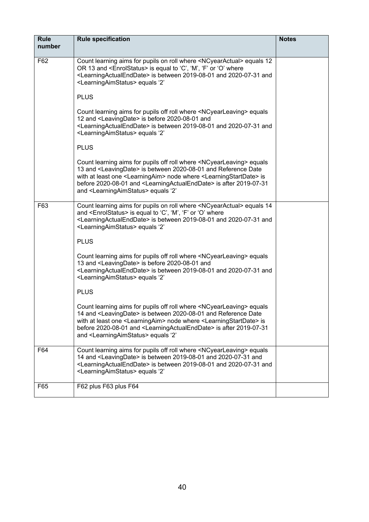| <b>Rule</b><br>number | <b>Rule specification</b>                                                                                                                                                                                                                                                                                                                                                                                                             | <b>Notes</b> |
|-----------------------|---------------------------------------------------------------------------------------------------------------------------------------------------------------------------------------------------------------------------------------------------------------------------------------------------------------------------------------------------------------------------------------------------------------------------------------|--------------|
| F62                   | Count learning aims for pupils on roll where <ncyearactual> equals 12</ncyearactual>                                                                                                                                                                                                                                                                                                                                                  |              |
|                       | OR 13 and <enrolstatus> is equal to 'C', 'M', 'F' or 'O' where<br/><learningactualenddate> is between 2019-08-01 and 2020-07-31 and<br/><learningaimstatus> equals '2'</learningaimstatus></learningactualenddate></enrolstatus>                                                                                                                                                                                                      |              |
|                       | <b>PLUS</b>                                                                                                                                                                                                                                                                                                                                                                                                                           |              |
|                       | Count learning aims for pupils off roll where <ncyearleaving> equals<br/>12 and <leavingdate> is before 2020-08-01 and<br/><learningactualenddate> is between 2019-08-01 and 2020-07-31 and<br/><learningaimstatus> equals '2'</learningaimstatus></learningactualenddate></leavingdate></ncyearleaving>                                                                                                                              |              |
|                       | <b>PLUS</b>                                                                                                                                                                                                                                                                                                                                                                                                                           |              |
|                       | Count learning aims for pupils off roll where <ncyearleaving> equals<br/>13 and <leavingdate> is between 2020-08-01 and Reference Date<br/>with at least one <learningaim> node where <learningstartdate> is<br/>before 2020-08-01 and <learningactualenddate> is after 2019-07-31<br/>and <learningaimstatus> equals '2'</learningaimstatus></learningactualenddate></learningstartdate></learningaim></leavingdate></ncyearleaving> |              |
| F63                   | Count learning aims for pupils on roll where <ncyearactual> equals 14<br/>and <enrolstatus> is equal to 'C', 'M', 'F' or 'O' where<br/><learningactualenddate> is between 2019-08-01 and 2020-07-31 and<br/><learningaimstatus> equals '2'</learningaimstatus></learningactualenddate></enrolstatus></ncyearactual>                                                                                                                   |              |
|                       | <b>PLUS</b>                                                                                                                                                                                                                                                                                                                                                                                                                           |              |
|                       | Count learning aims for pupils off roll where <ncyearleaving> equals<br/>13 and <leavingdate> is before 2020-08-01 and<br/><learningactualenddate> is between 2019-08-01 and 2020-07-31 and<br/><learningaimstatus> equals '2'</learningaimstatus></learningactualenddate></leavingdate></ncyearleaving>                                                                                                                              |              |
|                       | <b>PLUS</b>                                                                                                                                                                                                                                                                                                                                                                                                                           |              |
|                       | Count learning aims for pupils off roll where <ncyearleaving> equals<br/>14 and <leavingdate> is between 2020-08-01 and Reference Date<br/>with at least one <learningaim> node where <learningstartdate> is<br/>before 2020-08-01 and <learningactualenddate> is after 2019-07-31<br/>and <learningaimstatus> equals '2'</learningaimstatus></learningactualenddate></learningstartdate></learningaim></leavingdate></ncyearleaving> |              |
| F64                   | Count learning aims for pupils off roll where <ncyearleaving> equals<br/>14 and <leavingdate> is between 2019-08-01 and 2020-07-31 and<br/><learningactualenddate> is between 2019-08-01 and 2020-07-31 and<br/><learningaimstatus> equals '2'</learningaimstatus></learningactualenddate></leavingdate></ncyearleaving>                                                                                                              |              |
| F65                   | F62 plus F63 plus F64                                                                                                                                                                                                                                                                                                                                                                                                                 |              |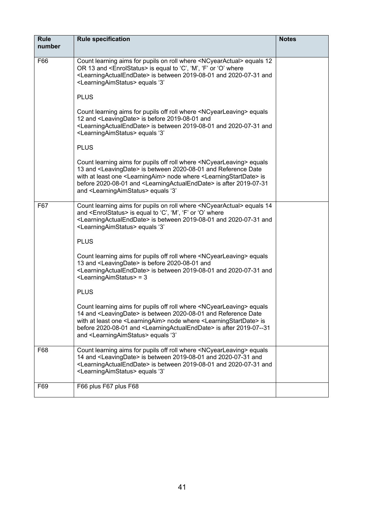| <b>Rule</b><br>number | <b>Rule specification</b>                                                                                                                                                                                                                                                                                                                                                                                                              | <b>Notes</b> |
|-----------------------|----------------------------------------------------------------------------------------------------------------------------------------------------------------------------------------------------------------------------------------------------------------------------------------------------------------------------------------------------------------------------------------------------------------------------------------|--------------|
| F66                   | Count learning aims for pupils on roll where <ncyearactual> equals 12</ncyearactual>                                                                                                                                                                                                                                                                                                                                                   |              |
|                       | OR 13 and <enrolstatus> is equal to 'C', 'M', 'F' or 'O' where<br/><learningactualenddate> is between 2019-08-01 and 2020-07-31 and<br/><learningaimstatus> equals '3'</learningaimstatus></learningactualenddate></enrolstatus>                                                                                                                                                                                                       |              |
|                       | <b>PLUS</b>                                                                                                                                                                                                                                                                                                                                                                                                                            |              |
|                       | Count learning aims for pupils off roll where <ncyearleaving> equals<br/>12 and <leavingdate> is before 2019-08-01 and<br/><learningactualenddate> is between 2019-08-01 and 2020-07-31 and<br/><learningaimstatus> equals '3'</learningaimstatus></learningactualenddate></leavingdate></ncyearleaving>                                                                                                                               |              |
|                       | <b>PLUS</b>                                                                                                                                                                                                                                                                                                                                                                                                                            |              |
|                       | Count learning aims for pupils off roll where <ncyearleaving> equals<br/>13 and <leavingdate> is between 2020-08-01 and Reference Date<br/>with at least one <learningaim> node where <learningstartdate> is<br/>before 2020-08-01 and <learningactualenddate> is after 2019-07-31<br/>and <learningaimstatus> equals '3'</learningaimstatus></learningactualenddate></learningstartdate></learningaim></leavingdate></ncyearleaving>  |              |
| F67                   | Count learning aims for pupils on roll where <ncyearactual> equals 14<br/>and <enrolstatus> is equal to 'C', 'M', 'F' or 'O' where<br/><learningactualenddate> is between 2019-08-01 and 2020-07-31 and<br/><learningaimstatus> equals '3'</learningaimstatus></learningactualenddate></enrolstatus></ncyearactual>                                                                                                                    |              |
|                       | <b>PLUS</b>                                                                                                                                                                                                                                                                                                                                                                                                                            |              |
|                       | Count learning aims for pupils off roll where <ncyearleaving> equals<br/>13 and <leavingdate> is before 2020-08-01 and<br/><learningactualenddate> is between 2019-08-01 and 2020-07-31 and<br/><learningaimstatus> = 3</learningaimstatus></learningactualenddate></leavingdate></ncyearleaving>                                                                                                                                      |              |
|                       | <b>PLUS</b>                                                                                                                                                                                                                                                                                                                                                                                                                            |              |
|                       | Count learning aims for pupils off roll where <ncyearleaving> equals<br/>14 and <leavingdate> is between 2020-08-01 and Reference Date<br/>with at least one <learningaim> node where <learningstartdate> is<br/>before 2020-08-01 and <learningactualenddate> is after 2019-07--31<br/>and <learningaimstatus> equals '3'</learningaimstatus></learningactualenddate></learningstartdate></learningaim></leavingdate></ncyearleaving> |              |
| F68                   | Count learning aims for pupils off roll where <ncyearleaving> equals<br/>14 and <leavingdate> is between 2019-08-01 and 2020-07-31 and<br/><learningactualenddate> is between 2019-08-01 and 2020-07-31 and<br/><learningaimstatus> equals '3'</learningaimstatus></learningactualenddate></leavingdate></ncyearleaving>                                                                                                               |              |
| F69                   | F66 plus F67 plus F68                                                                                                                                                                                                                                                                                                                                                                                                                  |              |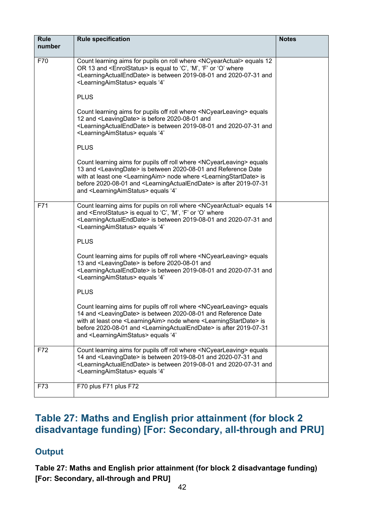| <b>Rule</b><br>number | <b>Rule specification</b>                                                                                                                                                                                                                                                                                                                                                                                                             | <b>Notes</b> |
|-----------------------|---------------------------------------------------------------------------------------------------------------------------------------------------------------------------------------------------------------------------------------------------------------------------------------------------------------------------------------------------------------------------------------------------------------------------------------|--------------|
|                       |                                                                                                                                                                                                                                                                                                                                                                                                                                       |              |
| F70                   | Count learning aims for pupils on roll where <ncyearactual> equals 12<br/>OR 13 and <enrolstatus> is equal to 'C', 'M', 'F' or 'O' where<br/><learningactualenddate> is between 2019-08-01 and 2020-07-31 and<br/><learningaimstatus> equals '4'</learningaimstatus></learningactualenddate></enrolstatus></ncyearactual>                                                                                                             |              |
|                       | <b>PLUS</b>                                                                                                                                                                                                                                                                                                                                                                                                                           |              |
|                       | Count learning aims for pupils off roll where <ncyearleaving> equals<br/>12 and <leavingdate> is before 2020-08-01 and<br/><learningactualenddate> is between 2019-08-01 and 2020-07-31 and<br/><learningaimstatus> equals '4'</learningaimstatus></learningactualenddate></leavingdate></ncyearleaving>                                                                                                                              |              |
|                       | <b>PLUS</b>                                                                                                                                                                                                                                                                                                                                                                                                                           |              |
|                       | Count learning aims for pupils off roll where <ncyearleaving> equals<br/>13 and <leavingdate> is between 2020-08-01 and Reference Date<br/>with at least one <learningaim> node where <learningstartdate> is<br/>before 2020-08-01 and <learningactualenddate> is after 2019-07-31<br/>and <learningaimstatus> equals '4'</learningaimstatus></learningactualenddate></learningstartdate></learningaim></leavingdate></ncyearleaving> |              |
| F71                   | Count learning aims for pupils on roll where <ncyearactual> equals 14<br/>and <enrolstatus> is equal to 'C', 'M', 'F' or 'O' where<br/><learningactualenddate> is between 2019-08-01 and 2020-07-31 and<br/><learningaimstatus> equals '4'</learningaimstatus></learningactualenddate></enrolstatus></ncyearactual>                                                                                                                   |              |
|                       | <b>PLUS</b>                                                                                                                                                                                                                                                                                                                                                                                                                           |              |
|                       | Count learning aims for pupils off roll where <ncyearleaving> equals<br/>13 and <leavingdate> is before 2020-08-01 and<br/><learningactualenddate> is between 2019-08-01 and 2020-07-31 and<br/><learningaimstatus> equals '4'</learningaimstatus></learningactualenddate></leavingdate></ncyearleaving>                                                                                                                              |              |
|                       | <b>PLUS</b>                                                                                                                                                                                                                                                                                                                                                                                                                           |              |
|                       | Count learning aims for pupils off roll where <ncyearleaving> equals<br/>14 and <leavingdate> is between 2020-08-01 and Reference Date<br/>with at least one <learningaim> node where <learningstartdate> is<br/>before 2020-08-01 and <learningactualenddate> is after 2019-07-31<br/>and <learningaimstatus> equals '4'</learningaimstatus></learningactualenddate></learningstartdate></learningaim></leavingdate></ncyearleaving> |              |
| F72                   | Count learning aims for pupils off roll where <ncyearleaving> equals<br/>14 and <leavingdate> is between 2019-08-01 and 2020-07-31 and<br/><learningactualenddate> is between 2019-08-01 and 2020-07-31 and<br/><learningaimstatus> equals '4'</learningaimstatus></learningactualenddate></leavingdate></ncyearleaving>                                                                                                              |              |
| F73                   | F70 plus F71 plus F72                                                                                                                                                                                                                                                                                                                                                                                                                 |              |

# <span id="page-41-0"></span>**Table 27: Maths and English prior attainment (for block 2 disadvantage funding) [For: Secondary, all-through and PRU]**

#### **Output**

**Table 27: Maths and English prior attainment (for block 2 disadvantage funding) [For: Secondary, all-through and PRU]**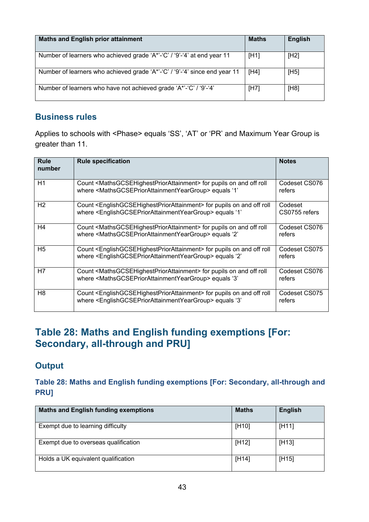| <b>Maths and English prior attainment</b>                                  | <b>Maths</b> | <b>English</b> |
|----------------------------------------------------------------------------|--------------|----------------|
| Number of learners who achieved grade 'A*'-'C' / '9'-'4' at end year 11    | [H1]         | [H2]           |
| Number of learners who achieved grade 'A*'-'C' / '9'-'4' since end year 11 | [H4]         | [H5]           |
| Number of learners who have not achieved grade 'A*'-'C' / '9'-'4'          | [H7]         | [H8]           |

Applies to schools with <Phase> equals 'SS', 'AT' or 'PR' and Maximum Year Group is greater than 11.

| Rule<br>number | <b>Rule specification</b>                                                                                                                                                                                 | <b>Notes</b>             |
|----------------|-----------------------------------------------------------------------------------------------------------------------------------------------------------------------------------------------------------|--------------------------|
| H1             | Count <mathsgcsehighestpriorattainment> for pupils on and off roll<br/>where <mathsgcsepriorattainmentyeargroup> equals '1'</mathsgcsepriorattainmentyeargroup></mathsgcsehighestpriorattainment>         | Codeset CS076<br>refers  |
| H <sub>2</sub> | Count <englishgcsehighestpriorattainment> for pupils on and off roll<br/>where <englishgcsepriorattainmentyeargroup> equals '1'</englishgcsepriorattainmentyeargroup></englishgcsehighestpriorattainment> | Codeset<br>CS0755 refers |
| H4             | Count <mathsgcsehighestpriorattainment> for pupils on and off roll<br/>where <mathsgcsepriorattainmentyeargroup> equals '2'</mathsgcsepriorattainmentyeargroup></mathsgcsehighestpriorattainment>         | Codeset CS076<br>refers  |
| H <sub>5</sub> | Count <englishgcsehighestpriorattainment> for pupils on and off roll<br/>where <englishgcsepriorattainmentyeargroup> equals '2'</englishgcsepriorattainmentyeargroup></englishgcsehighestpriorattainment> | Codeset CS075<br>refers  |
| H7             | Count <mathsgcsehighestpriorattainment> for pupils on and off roll<br/>where <mathsgcsepriorattainmentyeargroup> equals '3'</mathsgcsepriorattainmentyeargroup></mathsgcsehighestpriorattainment>         | Codeset CS076<br>refers  |
| H <sub>8</sub> | Count <englishgcsehighestpriorattainment> for pupils on and off roll<br/>where <englishgcsepriorattainmentyeargroup> equals '3'</englishgcsepriorattainmentyeargroup></englishgcsehighestpriorattainment> | Codeset CS075<br>refers  |

## <span id="page-42-0"></span>**Table 28: Maths and English funding exemptions [For: Secondary, all-through and PRU]**

#### **Output**

**Table 28: Maths and English funding exemptions [For: Secondary, all-through and PRU]**

| <b>Maths and English funding exemptions</b> | <b>Maths</b>       | <b>English</b> |
|---------------------------------------------|--------------------|----------------|
| Exempt due to learning difficulty           | [H10]              | [H11]          |
| Exempt due to overseas qualification        | [H <sub>12</sub> ] | [H13]          |
| Holds a UK equivalent qualification         | [H14]              | [H15]          |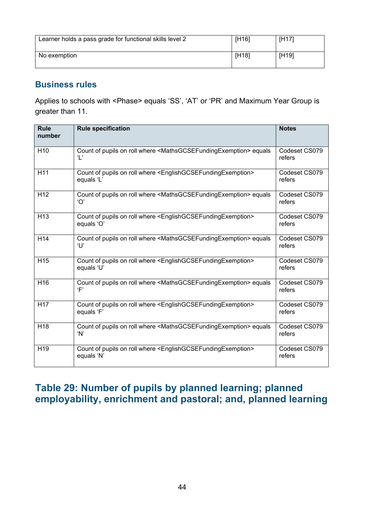| Learner holds a pass grade for functional skills level 2 | [H16]              | [H <sub>17</sub> ] |
|----------------------------------------------------------|--------------------|--------------------|
| No exemption                                             | [H <sub>18</sub> ] | [H19]              |

Applies to schools with <Phase> equals 'SS', 'AT' or 'PR' and Maximum Year Group is greater than 11.

| <b>Rule</b><br>number | <b>Rule specification</b>                                                                                                | <b>Notes</b>            |
|-----------------------|--------------------------------------------------------------------------------------------------------------------------|-------------------------|
| H <sub>10</sub>       | Count of pupils on roll where <mathsgcsefundingexemption> equals<br/><math>\mathbf{L}</math></mathsgcsefundingexemption> | Codeset CS079<br>refers |
| H11                   | Count of pupils on roll where <englishgcsefundingexemption><br/>equals 'L'</englishgcsefundingexemption>                 | Codeset CS079<br>refers |
| H <sub>12</sub>       | Count of pupils on roll where <mathsgcsefundingexemption> equals<br/>'O'</mathsgcsefundingexemption>                     | Codeset CS079<br>refers |
| $\overline{H13}$      | Count of pupils on roll where <englishgcsefundingexemption><br/>equals 'O'</englishgcsefundingexemption>                 | Codeset CS079<br>refers |
| H <sub>14</sub>       | Count of pupils on roll where <mathsgcsefundingexemption> equals<br/>T'</mathsgcsefundingexemption>                      | Codeset CS079<br>refers |
| H <sub>15</sub>       | Count of pupils on roll where <englishgcsefundingexemption><br/>equals 'U'</englishgcsefundingexemption>                 | Codeset CS079<br>refers |
| H <sub>16</sub>       | Count of pupils on roll where <mathsgcsefundingexemption> equals<br/>'F'</mathsgcsefundingexemption>                     | Codeset CS079<br>refers |
| H <sub>17</sub>       | Count of pupils on roll where <englishgcsefundingexemption><br/>equals 'F'</englishgcsefundingexemption>                 | Codeset CS079<br>refers |
| H <sub>18</sub>       | Count of pupils on roll where <mathsgcsefundingexemption> equals<br/>'N'</mathsgcsefundingexemption>                     | Codeset CS079<br>refers |
| H <sub>19</sub>       | Count of pupils on roll where <englishgcsefundingexemption><br/>equals 'N'</englishgcsefundingexemption>                 | Codeset CS079<br>refers |

## <span id="page-43-0"></span>**Table 29: Number of pupils by planned learning; planned employability, enrichment and pastoral; and, planned learning**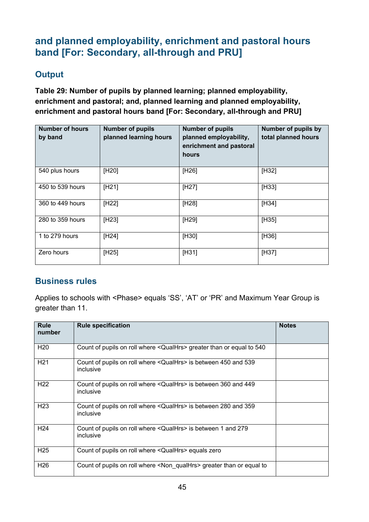# **and planned employability, enrichment and pastoral hours band [For: Secondary, all-through and PRU]**

#### **Output**

**Table 29: Number of pupils by planned learning; planned employability, enrichment and pastoral; and, planned learning and planned employability, enrichment and pastoral hours band [For: Secondary, all-through and PRU]**

| <b>Number of hours</b><br>by band | <b>Number of pupils</b><br>planned learning hours | <b>Number of pupils</b><br>planned employability,<br>enrichment and pastoral<br>hours | Number of pupils by<br>total planned hours |
|-----------------------------------|---------------------------------------------------|---------------------------------------------------------------------------------------|--------------------------------------------|
| 540 plus hours                    | [H20]                                             | [H26]                                                                                 | [H32]                                      |
| 450 to 539 hours                  | [H21]                                             | $[H27]$                                                                               | $[H33]$                                    |
| 360 to 449 hours                  | [H22]                                             | [H28]                                                                                 | [H34]                                      |
| 280 to 359 hours                  | [H23]                                             | [H29]                                                                                 | [H35]                                      |
| 1 to 279 hours                    | [H24]                                             | [H30]                                                                                 | [H36]                                      |
| Zero hours                        | [H25]                                             | [H31]                                                                                 | [H37]                                      |

#### **Business rules**

Applies to schools with <Phase> equals 'SS', 'AT' or 'PR' and Maximum Year Group is greater than 11.

| <b>Rule</b><br>number | <b>Rule specification</b>                                                              | <b>Notes</b> |
|-----------------------|----------------------------------------------------------------------------------------|--------------|
| H <sub>20</sub>       | Count of pupils on roll where <qualhrs> greater than or equal to 540</qualhrs>         |              |
| H <sub>21</sub>       | Count of pupils on roll where < QualHrs> is between 450 and 539<br>inclusive           |              |
| H <sub>22</sub>       | Count of pupils on roll where < QualHrs> is between 360 and 449<br>inclusive           |              |
| H <sub>23</sub>       | Count of pupils on roll where <qualhrs> is between 280 and 359<br/>inclusive</qualhrs> |              |
| H <sub>24</sub>       | Count of pupils on roll where <qualhrs> is between 1 and 279<br/>inclusive</qualhrs>   |              |
| H <sub>25</sub>       | Count of pupils on roll where <qualhrs> equals zero</qualhrs>                          |              |
| H <sub>26</sub>       | Count of pupils on roll where <non qualhrs=""> greater than or equal to</non>          |              |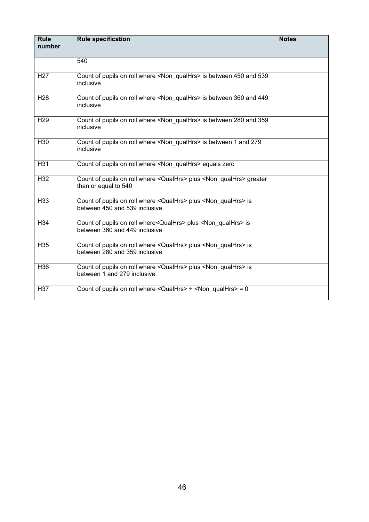| <b>Rule</b><br>number | <b>Rule specification</b>                                                                                          | <b>Notes</b> |
|-----------------------|--------------------------------------------------------------------------------------------------------------------|--------------|
|                       |                                                                                                                    |              |
|                       | 540                                                                                                                |              |
| H <sub>27</sub>       | Count of pupils on roll where <non qualhrs=""> is between 450 and 539<br/>inclusive</non>                          |              |
| H <sub>28</sub>       | Count of pupils on roll where <non qualhrs=""> is between 360 and 449<br/>inclusive</non>                          |              |
| H <sub>29</sub>       | Count of pupils on roll where <non qualhrs=""> is between 280 and 359<br/>inclusive</non>                          |              |
| H <sub>30</sub>       | Count of pupils on roll where <non qualhrs=""> is between 1 and 279<br/>inclusive</non>                            |              |
| H31                   | Count of pupils on roll where <non_qualhrs> equals zero</non_qualhrs>                                              |              |
| H <sub>32</sub>       | Count of pupils on roll where <qualhrs> plus <non qualhrs=""> greater<br/>than or equal to 540</non></qualhrs>     |              |
| H33                   | Count of pupils on roll where <qualhrs> plus <non qualhrs=""> is<br/>between 450 and 539 inclusive</non></qualhrs> |              |
| H34                   | Count of pupils on roll where <qualhrs> plus <non qualhrs=""> is<br/>between 360 and 449 inclusive</non></qualhrs> |              |
| H <sub>35</sub>       | Count of pupils on roll where <qualhrs> plus <non qualhrs=""> is<br/>between 280 and 359 inclusive</non></qualhrs> |              |
| H36                   | Count of pupils on roll where <qualhrs> plus <non qualhrs=""> is<br/>between 1 and 279 inclusive</non></qualhrs>   |              |
| H37                   | Count of pupils on roll where $\leq$ QualHrs> + $\leq$ Non qualHrs> = 0                                            |              |